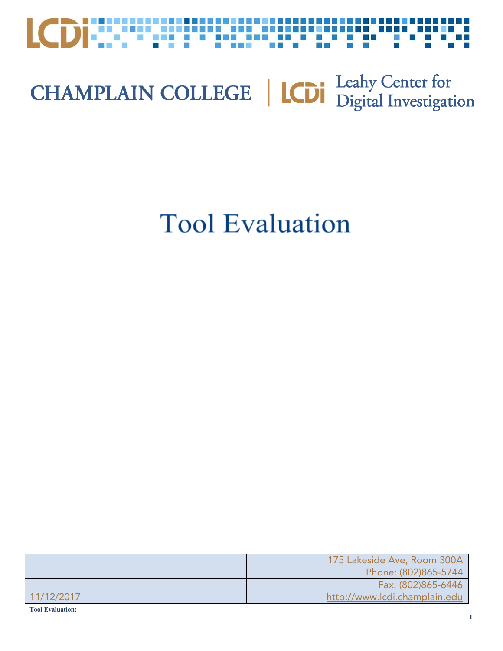

## **CHAMPLAIN COLLEGE** | **LCDI** Leahy Center for

### **Tool Evaluation**

|            | 175 Lakeside Ave, Room 300A   |
|------------|-------------------------------|
|            | Phone: (802)865-5744          |
|            | Fax: (802)865-6446            |
| 11/12/2017 | http://www.lcdi.champlain.edu |

**Tool Evaluation:**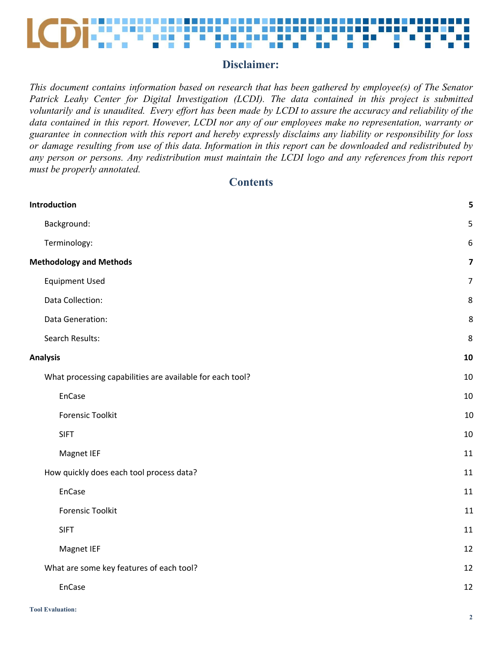

#### **Disclaimer:**

*This document contains information based on research that has been gathered by employee(s) of The Senator Patrick Leahy Center for Digital Investigation (LCDI). The data contained in this project is submitted* voluntarily and is unaudited. Every effort has been made by LCDI to assure the accuracy and reliability of the *data contained in this report. However, LCDI nor any of our employees make no representation, warranty or guarantee in connection with this report and hereby expressly disclaims any liability or responsibility for loss* or damage resulting from use of this data. Information in this report can be downloaded and redistributed by *any person or persons. Any redistribution must maintain the LCDI logo and any references from this report must be properly annotated.*

#### **Contents**

| Introduction                                              | 5                       |
|-----------------------------------------------------------|-------------------------|
| Background:                                               | 5                       |
| Terminology:                                              | $\boldsymbol{6}$        |
| <b>Methodology and Methods</b>                            | $\overline{\mathbf{z}}$ |
| <b>Equipment Used</b>                                     | $\overline{7}$          |
| Data Collection:                                          | 8                       |
| Data Generation:                                          | 8                       |
| Search Results:                                           | 8                       |
| <b>Analysis</b>                                           | 10                      |
| What processing capabilities are available for each tool? | 10                      |
| EnCase                                                    | 10                      |
| <b>Forensic Toolkit</b>                                   | 10                      |
| <b>SIFT</b>                                               | 10                      |
| Magnet IEF                                                | 11                      |
| How quickly does each tool process data?                  | 11                      |
| EnCase                                                    | 11                      |
| <b>Forensic Toolkit</b>                                   | 11                      |
| <b>SIFT</b>                                               | 11                      |
| Magnet IEF                                                | 12                      |
| What are some key features of each tool?                  | 12                      |
| EnCase                                                    | 12                      |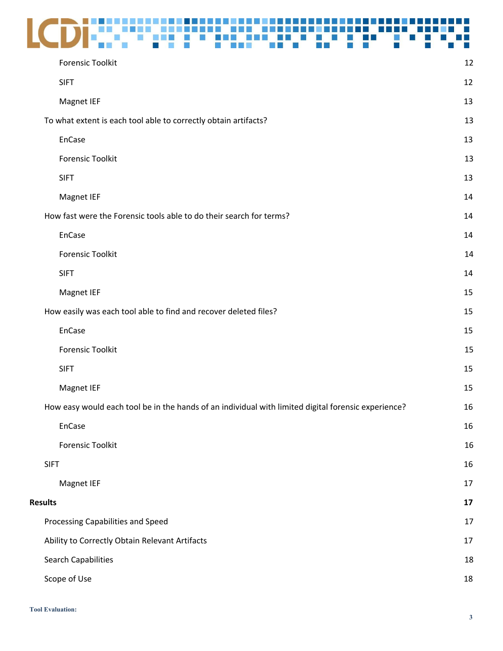## LCDisconsigning and consideration of the

| <b>Forensic Toolkit</b>                                                                             | 12 |
|-----------------------------------------------------------------------------------------------------|----|
| <b>SIFT</b>                                                                                         | 12 |
| Magnet IEF                                                                                          | 13 |
| To what extent is each tool able to correctly obtain artifacts?                                     | 13 |
| EnCase                                                                                              | 13 |
| <b>Forensic Toolkit</b>                                                                             | 13 |
| <b>SIFT</b>                                                                                         | 13 |
| Magnet IEF                                                                                          | 14 |
| How fast were the Forensic tools able to do their search for terms?                                 | 14 |
| EnCase                                                                                              | 14 |
| <b>Forensic Toolkit</b>                                                                             | 14 |
| <b>SIFT</b>                                                                                         | 14 |
| Magnet IEF                                                                                          | 15 |
| How easily was each tool able to find and recover deleted files?                                    | 15 |
| EnCase                                                                                              | 15 |
| <b>Forensic Toolkit</b>                                                                             | 15 |
| <b>SIFT</b>                                                                                         | 15 |
| Magnet IEF                                                                                          | 15 |
| How easy would each tool be in the hands of an individual with limited digital forensic experience? | 16 |
| EnCase                                                                                              | 16 |
| <b>Forensic Toolkit</b>                                                                             | 16 |
| <b>SIFT</b>                                                                                         | 16 |
| Magnet IEF                                                                                          | 17 |
| <b>Results</b>                                                                                      | 17 |
| Processing Capabilities and Speed                                                                   | 17 |
| Ability to Correctly Obtain Relevant Artifacts                                                      | 17 |
| <b>Search Capabilities</b>                                                                          | 18 |
| Scope of Use                                                                                        | 18 |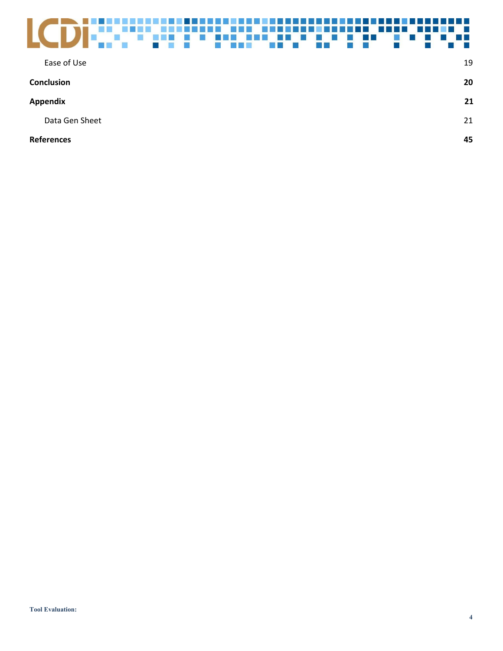| Ease of Use       | 19 |
|-------------------|----|
| <b>Conclusion</b> | 20 |
| Appendix          | 21 |
| Data Gen Sheet    | 21 |
| <b>References</b> | 45 |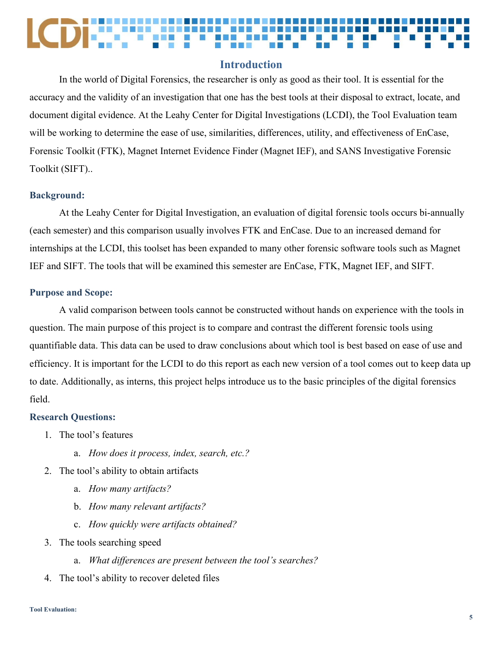#### **Introduction**

<span id="page-4-0"></span>In the world of Digital Forensics, the researcher is only as good as their tool. It is essential for the accuracy and the validity of an investigation that one has the best tools at their disposal to extract, locate, and document digital evidence. At the Leahy Center for Digital Investigations (LCDI), the Tool Evaluation team will be working to determine the ease of use, similarities, differences, utility, and effectiveness of EnCase, Forensic Toolkit (FTK), Magnet Internet Evidence Finder (Magnet IEF), and SANS Investigative Forensic Toolkit (SIFT)..

#### <span id="page-4-1"></span>**Background:**

At the Leahy Center for Digital Investigation, an evaluation of digital forensic tools occurs bi-annually (each semester) and this comparison usually involves FTK and EnCase. Due to an increased demand for internships at the LCDI, this toolset has been expanded to many other forensic software tools such as Magnet IEF and SIFT. The tools that will be examined this semester are EnCase, FTK, Magnet IEF, and SIFT.

#### **Purpose and Scope:**

A valid comparison between tools cannot be constructed without hands on experience with the tools in question. The main purpose of this project is to compare and contrast the different forensic tools using quantifiable data. This data can be used to draw conclusions about which tool is best based on ease of use and efficiency. It is important for the LCDI to do this report as each new version of a tool comes out to keep data up to date. Additionally, as interns, this project helps introduce us to the basic principles of the digital forensics field.

#### **Research Questions:**

- 1. The tool's features
	- a. *How does it process, index, search, etc.?*
- 2. The tool's ability to obtain artifacts
	- a. *How many artifacts?*
	- b. *How many relevant artifacts?*
	- c. *How quickly were artifacts obtained?*
- 3. The tools searching speed
	- a. *What differences are present between the tool's searches?*
- 4. The tool's ability to recover deleted files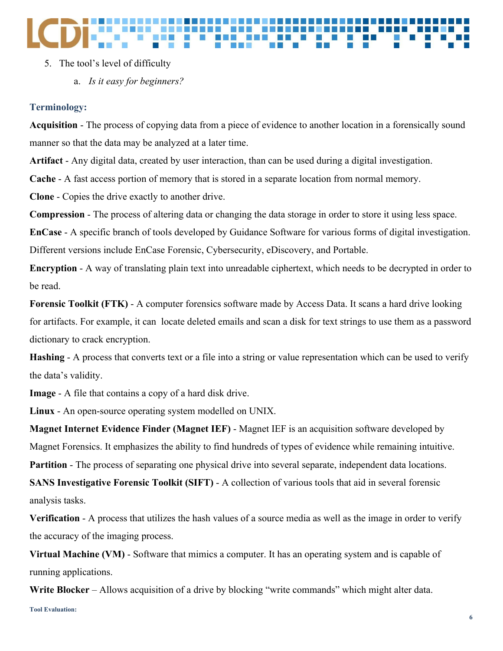#### 5. The tool's level of difficulty

a. *Is it easy for beginners?*

#### <span id="page-5-0"></span>**Terminology:**

**Acquisition** - The process of copying data from a piece of evidence to another location in a forensically sound manner so that the data may be analyzed at a later time.

**Artifact** - Any digital data, created by user interaction, than can be used during a digital investigation.

**Cache** - A fast access portion of memory that is stored in a separate location from normal memory.

**Clone** - Copies the drive exactly to another drive.

**Compression** - The process of altering data or changing the data storage in order to store it using less space.

**EnCase** - A specific branch of tools developed by Guidance Software for various forms of digital investigation. Different versions include EnCase Forensic, Cybersecurity, eDiscovery, and Portable.

**Encryption** - A way of translating plain text into unreadable ciphertext, which needs to be decrypted in order to be read.

**Forensic Toolkit (FTK)** - A computer forensics software made by Access Data. It scans a hard drive looking for artifacts. For example, it can locate deleted emails and scan a disk for text strings to use them as a password dictionary to crack encryption.

**Hashing** - A process that converts text or a file into a string or value representation which can be used to verify the data's validity.

**Image** - A file that contains a copy of a hard disk drive.

**Linux** - An open-source operating system modelled on UNIX.

**Magnet Internet Evidence Finder (Magnet IEF)** - Magnet IEF is an acquisition software developed by Magnet Forensics. It emphasizes the ability to find hundreds of types of evidence while remaining intuitive. **Partition** - The process of separating one physical drive into several separate, independent data locations.

**SANS Investigative Forensic Toolkit (SIFT)** - A collection of various tools that aid in several forensic analysis tasks.

**Verification** - A process that utilizes the hash values of a source media as well as the image in order to verify the accuracy of the imaging process.

**Virtual Machine (VM)** - Software that mimics a computer. It has an operating system and is capable of running applications.

**Write Blocker** – Allows acquisition of a drive by blocking "write commands" which might alter data.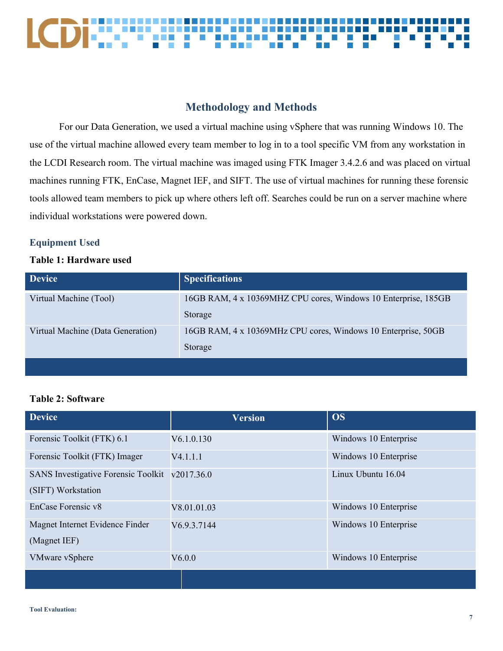#### 8 8 8 8 8 8 8 8 LCDE: **. . . . . . . . NO**

### **Methodology and Methods**

<span id="page-6-0"></span>For our Data Generation, we used a virtual machine using vSphere that was running Windows 10. The use of the virtual machine allowed every team member to log in to a tool specific VM from any workstation in the LCDI Research room. The virtual machine was imaged using FTK Imager 3.4.2.6 and was placed on virtual machines running FTK, EnCase, Magnet IEF, and SIFT. The use of virtual machines for running these forensic tools allowed team members to pick up where others left off. Searches could be run on a server machine where individual workstations were powered down.

#### <span id="page-6-1"></span>**Equipment Used**

#### **Table 1: Hardware used**

| <b>Device</b>                     | <b>Specifications</b>                                                     |
|-----------------------------------|---------------------------------------------------------------------------|
| Virtual Machine (Tool)            | 16GB RAM, 4 x 10369MHZ CPU cores, Windows 10 Enterprise, 185GB<br>Storage |
| Virtual Machine (Data Generation) | 16GB RAM, 4 x 10369MHz CPU cores, Windows 10 Enterprise, 50GB<br>Storage  |
|                                   |                                                                           |

#### **Table 2: Software**

| <b>Device</b>                              | <b>Version</b> | <b>OS</b>             |
|--------------------------------------------|----------------|-----------------------|
| Forensic Toolkit (FTK) 6.1                 | V6.1.0.130     | Windows 10 Enterprise |
| Forensic Toolkit (FTK) Imager              | V4.1.1.1       | Windows 10 Enterprise |
| <b>SANS</b> Investigative Forensic Toolkit | v2017.36.0     | Linux Ubuntu 16.04    |
| (SIFT) Workstation                         |                |                       |
| EnCase Forensic v8                         | V8.01.01.03    | Windows 10 Enterprise |
| Magnet Internet Evidence Finder            | V6.9.3.7144    | Windows 10 Enterprise |
| (Magnet IEF)                               |                |                       |
| <b>VMware vSphere</b>                      | V6.0.0         | Windows 10 Enterprise |
|                                            |                |                       |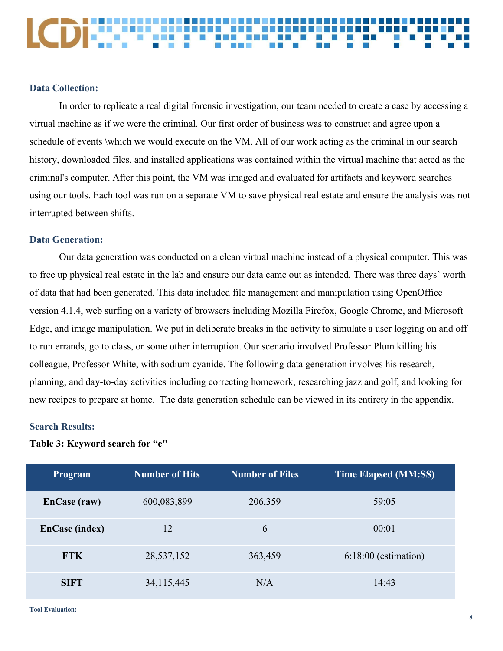#### <span id="page-7-0"></span>**Data Collection:**

In order to replicate a real digital forensic investigation, our team needed to create a case by accessing a virtual machine as if we were the criminal. Our first order of business was to construct and agree upon a schedule of events \which we would execute on the VM. All of our work acting as the criminal in our search history, downloaded files, and installed applications was contained within the virtual machine that acted as the criminal's computer. After this point, the VM was imaged and evaluated for artifacts and keyword searches using our tools. Each tool was run on a separate VM to save physical real estate and ensure the analysis was not interrupted between shifts.

#### <span id="page-7-1"></span>**Data Generation:**

Our data generation was conducted on a clean virtual machine instead of a physical computer. This was to free up physical real estate in the lab and ensure our data came out as intended. There was three days' worth of data that had been generated. This data included file management and manipulation using OpenOffice version 4.1.4, web surfing on a variety of browsers including Mozilla Firefox, Google Chrome, and Microsoft Edge, and image manipulation. We put in deliberate breaks in the activity to simulate a user logging on and off to run errands, go to class, or some other interruption. Our scenario involved Professor Plum killing his colleague, Professor White, with sodium cyanide. The following data generation involves his research, planning, and day-to-day activities including correcting homework, researching jazz and golf, and looking for new recipes to prepare at home. The data generation schedule can be viewed in its entirety in the appendix.

#### <span id="page-7-2"></span>**Search Results:**

#### **Table 3: Keyword search for "e"**

| Program               | <b>Number of Hits</b> | <b>Number of Files</b> | <b>Time Elapsed (MM:SS)</b> |
|-----------------------|-----------------------|------------------------|-----------------------------|
| EnCase (raw)          | 600,083,899           | 206,359                | 59:05                       |
| <b>EnCase (index)</b> | 12                    | 6                      | 00:01                       |
| <b>FTK</b>            | 28,537,152            | 363,459                | $6:18:00$ (estimation)      |
| <b>SIFT</b>           | 34, 115, 445          | N/A                    | 14:43                       |

**Tool Evaluation:**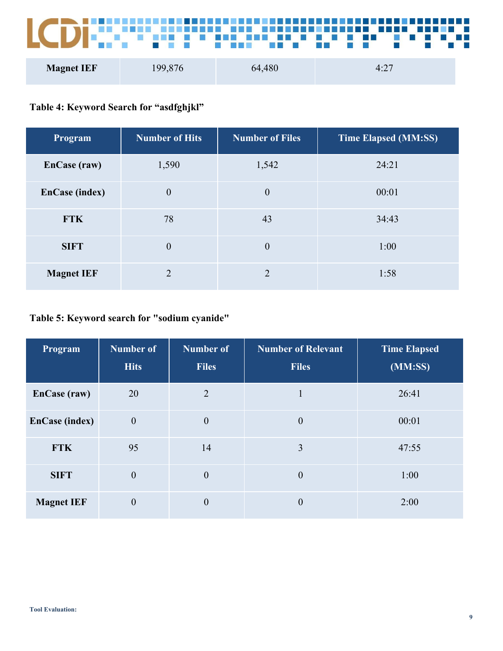**ICE DE LE Barbara** <u>, 1999-1999 - 1999-1999-1999-1999</u> **BEE DES LCDF:** w an<br>B Ę D

| <b>Magnet IEF</b> | 199,876 | 64,480 | $4:2$ , |
|-------------------|---------|--------|---------|
|                   |         |        |         |

### **Table 4: Keyword Search for "asdfghjkl"**

| Program               | <b>Number of Hits</b> | <b>Number of Files</b> | <b>Time Elapsed (MM:SS)</b> |
|-----------------------|-----------------------|------------------------|-----------------------------|
| EnCase (raw)          | 1,590                 | 1,542                  | 24:21                       |
| <b>EnCase (index)</b> | $\mathbf{0}$          | $\theta$               | 00:01                       |
| <b>FTK</b>            | 78                    | 43                     | 34:43                       |
| <b>SIFT</b>           | $\boldsymbol{0}$      | $\theta$               | 1:00                        |
| <b>Magnet IEF</b>     | $\mathfrak{D}$        | $\mathcal{D}_{\cdot}$  | 1:58                        |

### **Table 5: Keyword search for "sodium cyanide"**

| Program               | <b>Number of</b><br><b>Hits</b> | <b>Number of</b><br><b>Files</b> | <b>Number of Relevant</b><br><b>Files</b> | <b>Time Elapsed</b><br>(MM:SS) |
|-----------------------|---------------------------------|----------------------------------|-------------------------------------------|--------------------------------|
| EnCase (raw)          | 20                              | $\overline{2}$                   | 1                                         | 26:41                          |
| <b>EnCase (index)</b> | $\boldsymbol{0}$                | $\boldsymbol{0}$                 | $\overline{0}$                            | 00:01                          |
| <b>FTK</b>            | 95                              | 14                               | 3                                         | 47:55                          |
| <b>SIFT</b>           | $\boldsymbol{0}$                | $\theta$                         | $\bf{0}$                                  | 1:00                           |
| <b>Magnet IEF</b>     | $\mathbf{0}$                    | $\boldsymbol{0}$                 | $\theta$                                  | 2:00                           |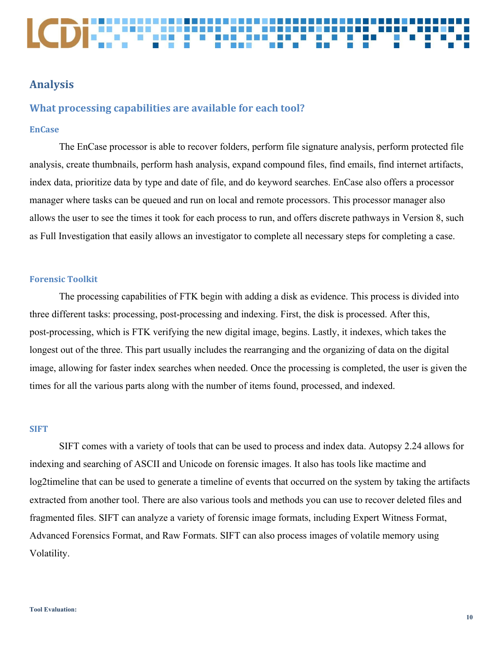### <span id="page-9-0"></span>**Analysis**

#### <span id="page-9-1"></span>**What processing capabilities are available for each tool?**

#### <span id="page-9-2"></span>**EnCase**

The EnCase processor is able to recover folders, perform file signature analysis, perform protected file analysis, create thumbnails, perform hash analysis, expand compound files, find emails, find internet artifacts, index data, prioritize data by type and date of file, and do keyword searches. EnCase also offers a processor manager where tasks can be queued and run on local and remote processors. This processor manager also allows the user to see the times it took for each process to run, and offers discrete pathways in Version 8, such as Full Investigation that easily allows an investigator to complete all necessary steps for completing a case.

#### <span id="page-9-3"></span>**Forensic Toolkit**

The processing capabilities of FTK begin with adding a disk as evidence. This process is divided into three different tasks: processing, post-processing and indexing. First, the disk is processed. After this, post-processing, which is FTK verifying the new digital image, begins. Lastly, it indexes, which takes the longest out of the three. This part usually includes the rearranging and the organizing of data on the digital image, allowing for faster index searches when needed. Once the processing is completed, the user is given the times for all the various parts along with the number of items found, processed, and indexed.

#### <span id="page-9-4"></span>**SIFT**

SIFT comes with a variety of tools that can be used to process and index data. Autopsy 2.24 allows for indexing and searching of ASCII and Unicode on forensic images. It also has tools like mactime and log2timeline that can be used to generate a timeline of events that occurred on the system by taking the artifacts extracted from another tool. There are also various tools and methods you can use to recover deleted files and fragmented files. SIFT can analyze a variety of forensic image formats, including Expert Witness Format, Advanced Forensics Format, and Raw Formats. SIFT can also process images of volatile memory using Volatility.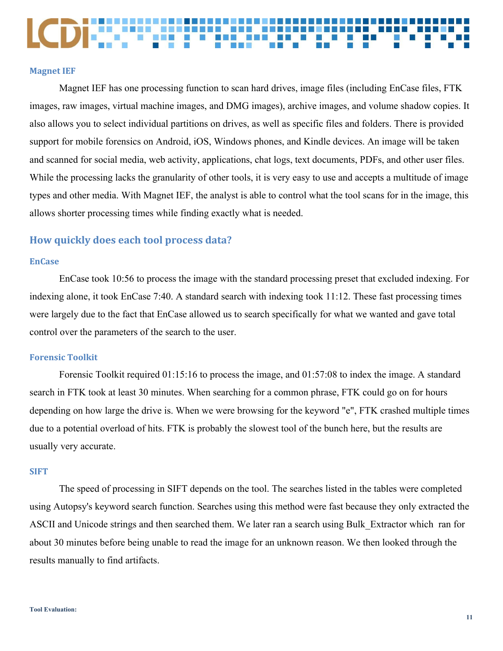<span id="page-10-0"></span>Magnet IEF has one processing function to scan hard drives, image files (including EnCase files, FTK images, raw images, virtual machine images, and DMG images), archive images, and volume shadow copies. It also allows you to select individual partitions on drives, as well as specific files and folders. There is provided support for mobile forensics on Android, iOS, Windows phones, and Kindle devices. An image will be taken and scanned for social media, web activity, applications, chat logs, text documents, PDFs, and other user files. While the processing lacks the granularity of other tools, it is very easy to use and accepts a multitude of image types and other media. With Magnet IEF, the analyst is able to control what the tool scans for in the image, this allows shorter processing times while finding exactly what is needed.

#### <span id="page-10-1"></span>**How quickly does each tool process data?**

#### <span id="page-10-2"></span>**EnCase**

EnCase took 10:56 to process the image with the standard processing preset that excluded indexing. For indexing alone, it took EnCase 7:40. A standard search with indexing took 11:12. These fast processing times were largely due to the fact that EnCase allowed us to search specifically for what we wanted and gave total control over the parameters of the search to the user.

#### <span id="page-10-3"></span>**Forensic Toolkit**

Forensic Toolkit required 01:15:16 to process the image, and 01:57:08 to index the image. A standard search in FTK took at least 30 minutes. When searching for a common phrase, FTK could go on for hours depending on how large the drive is. When we were browsing for the keyword "e", FTK crashed multiple times due to a potential overload of hits. FTK is probably the slowest tool of the bunch here, but the results are usually very accurate.

#### <span id="page-10-4"></span>**SIFT**

The speed of processing in SIFT depends on the tool. The searches listed in the tables were completed using Autopsy's keyword search function. Searches using this method were fast because they only extracted the ASCII and Unicode strings and then searched them. We later ran a search using Bulk\_Extractor which ran for about 30 minutes before being unable to read the image for an unknown reason. We then looked through the results manually to find artifacts.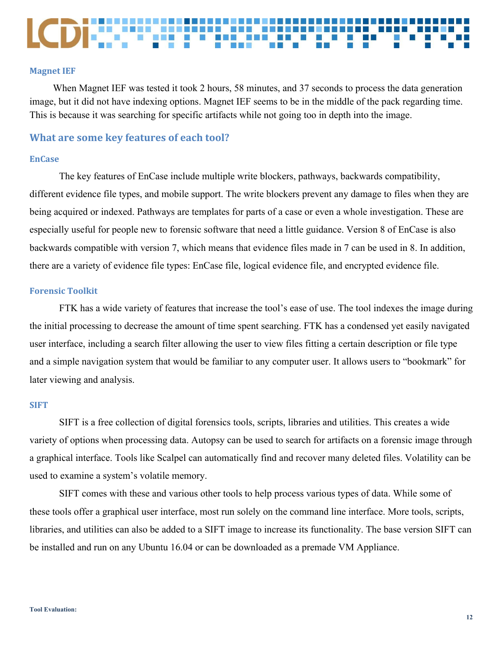<span id="page-11-0"></span>When Magnet IEF was tested it took 2 hours, 58 minutes, and 37 seconds to process the data generation image, but it did not have indexing options. Magnet IEF seems to be in the middle of the pack regarding time. This is because it was searching for specific artifacts while not going too in depth into the image.

#### <span id="page-11-1"></span>**What are some key features of each tool?**

#### <span id="page-11-2"></span>**EnCase**

The key features of EnCase include multiple write blockers, pathways, backwards compatibility, different evidence file types, and mobile support. The write blockers prevent any damage to files when they are being acquired or indexed. Pathways are templates for parts of a case or even a whole investigation. These are especially useful for people new to forensic software that need a little guidance. Version 8 of EnCase is also backwards compatible with version 7, which means that evidence files made in 7 can be used in 8. In addition, there are a variety of evidence file types: EnCase file, logical evidence file, and encrypted evidence file.

#### <span id="page-11-3"></span>**Forensic Toolkit**

FTK has a wide variety of features that increase the tool's ease of use. The tool indexes the image during the initial processing to decrease the amount of time spent searching. FTK has a condensed yet easily navigated user interface, including a search filter allowing the user to view files fitting a certain description or file type and a simple navigation system that would be familiar to any computer user. It allows users to "bookmark" for later viewing and analysis.

#### <span id="page-11-4"></span>**SIFT**

SIFT is a free collection of digital forensics tools, scripts, libraries and utilities. This creates a wide variety of options when processing data. Autopsy can be used to search for artifacts on a forensic image through a graphical interface. Tools like Scalpel can automatically find and recover many deleted files. Volatility can be used to examine a system's volatile memory.

SIFT comes with these and various other tools to help process various types of data. While some of these tools offer a graphical user interface, most run solely on the command line interface. More tools, scripts, libraries, and utilities can also be added to a SIFT image to increase its functionality. The base version SIFT can be installed and run on any Ubuntu 16.04 or can be downloaded as a premade VM Appliance.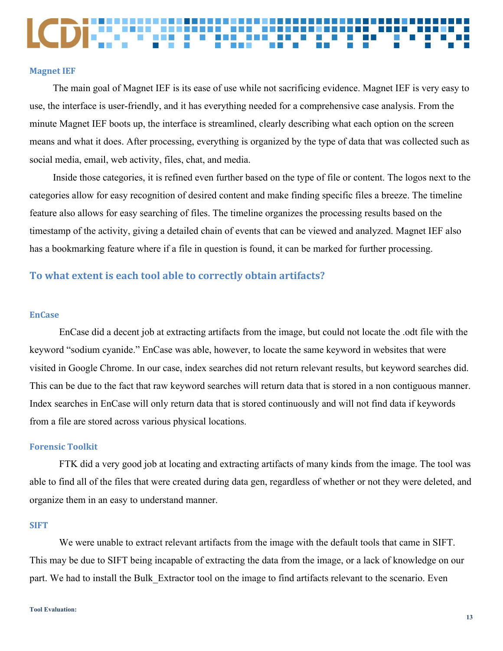<span id="page-12-0"></span>The main goal of Magnet IEF is its ease of use while not sacrificing evidence. Magnet IEF is very easy to use, the interface is user-friendly, and it has everything needed for a comprehensive case analysis. From the minute Magnet IEF boots up, the interface is streamlined, clearly describing what each option on the screen means and what it does. After processing, everything is organized by the type of data that was collected such as social media, email, web activity, files, chat, and media.

Inside those categories, it is refined even further based on the type of file or content. The logos next to the categories allow for easy recognition of desired content and make finding specific files a breeze. The timeline feature also allows for easy searching of files. The timeline organizes the processing results based on the timestamp of the activity, giving a detailed chain of events that can be viewed and analyzed. Magnet IEF also has a bookmarking feature where if a file in question is found, it can be marked for further processing.

#### <span id="page-12-1"></span>**To what extent is each tool able to correctly obtain artifacts?**

#### <span id="page-12-2"></span>**EnCase**

EnCase did a decent job at extracting artifacts from the image, but could not locate the .odt file with the keyword "sodium cyanide." EnCase was able, however, to locate the same keyword in websites that were visited in Google Chrome. In our case, index searches did not return relevant results, but keyword searches did. This can be due to the fact that raw keyword searches will return data that is stored in a non contiguous manner. Index searches in EnCase will only return data that is stored continuously and will not find data if keywords from a file are stored across various physical locations.

#### <span id="page-12-3"></span>**Forensic Toolkit**

FTK did a very good job at locating and extracting artifacts of many kinds from the image. The tool was able to find all of the files that were created during data gen, regardless of whether or not they were deleted, and organize them in an easy to understand manner.

#### <span id="page-12-4"></span>**SIFT**

We were unable to extract relevant artifacts from the image with the default tools that came in SIFT. This may be due to SIFT being incapable of extracting the data from the image, or a lack of knowledge on our part. We had to install the Bulk Extractor tool on the image to find artifacts relevant to the scenario. Even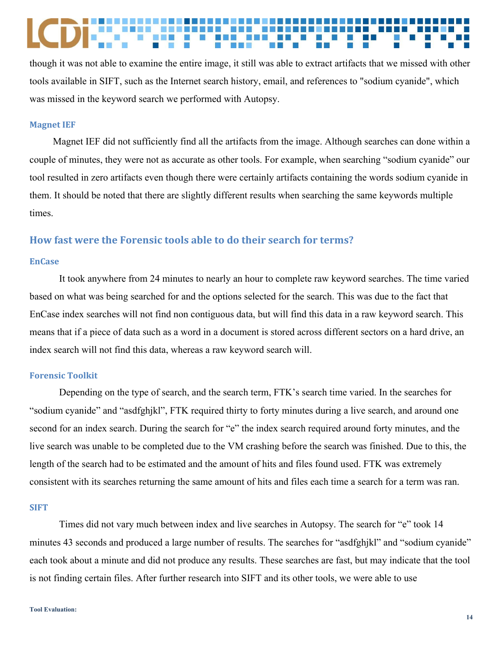though it was not able to examine the entire image, it still was able to extract artifacts that we missed with other tools available in SIFT, such as the Internet search history, email, and references to "sodium cyanide", which was missed in the keyword search we performed with Autopsy.

#### <span id="page-13-0"></span>**Magnet IEF**

Magnet IEF did not sufficiently find all the artifacts from the image. Although searches can done within a couple of minutes, they were not as accurate as other tools. For example, when searching "sodium cyanide" our tool resulted in zero artifacts even though there were certainly artifacts containing the words sodium cyanide in them. It should be noted that there are slightly different results when searching the same keywords multiple times.

#### <span id="page-13-1"></span>**How fast were the Forensic tools able to do their search for terms?**

#### <span id="page-13-2"></span>**EnCase**

It took anywhere from 24 minutes to nearly an hour to complete raw keyword searches. The time varied based on what was being searched for and the options selected for the search. This was due to the fact that EnCase index searches will not find non contiguous data, but will find this data in a raw keyword search. This means that if a piece of data such as a word in a document is stored across different sectors on a hard drive, an index search will not find this data, whereas a raw keyword search will.

#### <span id="page-13-3"></span>**Forensic Toolkit**

Depending on the type of search, and the search term, FTK's search time varied. In the searches for "sodium cyanide" and "asdfghjkl", FTK required thirty to forty minutes during a live search, and around one second for an index search. During the search for "e" the index search required around forty minutes, and the live search was unable to be completed due to the VM crashing before the search was finished. Due to this, the length of the search had to be estimated and the amount of hits and files found used. FTK was extremely consistent with its searches returning the same amount of hits and files each time a search for a term was ran.

#### <span id="page-13-4"></span>**SIFT**

Times did not vary much between index and live searches in Autopsy. The search for "e" took 14 minutes 43 seconds and produced a large number of results. The searches for "asdfghjkl" and "sodium cyanide" each took about a minute and did not produce any results. These searches are fast, but may indicate that the tool is not finding certain files. After further research into SIFT and its other tools, we were able to use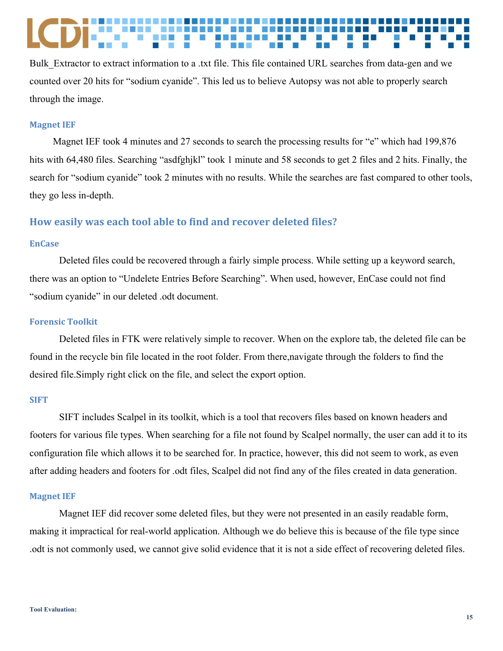Bulk Extractor to extract information to a .txt file. This file contained URL searches from data-gen and we counted over 20 hits for "sodium cyanide". This led us to believe Autopsy was not able to properly search through the image.

#### <span id="page-14-0"></span>**Magnet IEF**

Magnet IEF took 4 minutes and 27 seconds to search the processing results for "e" which had 199,876 hits with 64,480 files. Searching "asdfghjkl" took 1 minute and 58 seconds to get 2 files and 2 hits. Finally, the search for "sodium cyanide" took 2 minutes with no results. While the searches are fast compared to other tools, they go less in-depth.

#### <span id="page-14-1"></span>**How easily was each tool able to find and recover deleted files?**

#### <span id="page-14-2"></span>**EnCase**

Deleted files could be recovered through a fairly simple process. While setting up a keyword search, there was an option to "Undelete Entries Before Searching". When used, however, EnCase could not find "sodium cyanide" in our deleted .odt document.

#### <span id="page-14-3"></span>**Forensic Toolkit**

Deleted files in FTK were relatively simple to recover. When on the explore tab, the deleted file can be found in the recycle bin file located in the root folder. From there,navigate through the folders to find the desired file.Simply right click on the file, and select the export option.

#### <span id="page-14-4"></span>**SIFT**

SIFT includes Scalpel in its toolkit, which is a tool that recovers files based on known headers and footers for various file types. When searching for a file not found by Scalpel normally, the user can add it to its configuration file which allows it to be searched for. In practice, however, this did not seem to work, as even after adding headers and footers for .odt files, Scalpel did not find any of the files created in data generation.

#### <span id="page-14-5"></span>**Magnet IEF**

Magnet IEF did recover some deleted files, but they were not presented in an easily readable form, making it impractical for real-world application. Although we do believe this is because of the file type since .odt is not commonly used, we cannot give solid evidence that it is not a side effect of recovering deleted files.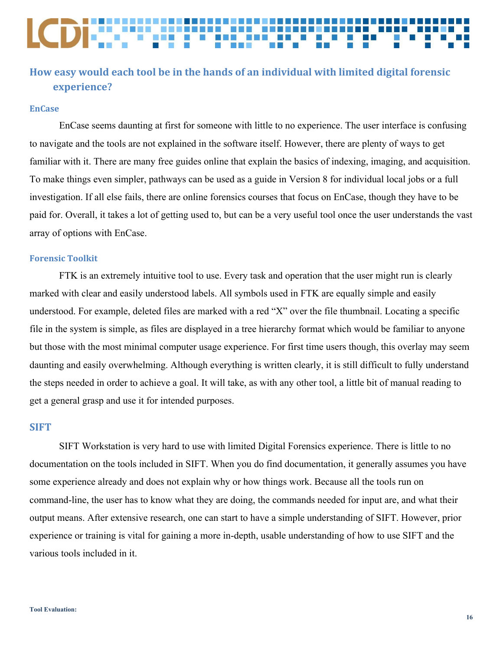### <span id="page-15-0"></span>**How easy would each tool be in the hands of an individual with limited digital forensic experience?**

#### <span id="page-15-1"></span>**EnCase**

EnCase seems daunting at first for someone with little to no experience. The user interface is confusing to navigate and the tools are not explained in the software itself. However, there are plenty of ways to get familiar with it. There are many free guides online that explain the basics of indexing, imaging, and acquisition. To make things even simpler, pathways can be used as a guide in Version 8 for individual local jobs or a full investigation. If all else fails, there are online forensics courses that focus on EnCase, though they have to be paid for. Overall, it takes a lot of getting used to, but can be a very useful tool once the user understands the vast array of options with EnCase.

#### <span id="page-15-2"></span>**Forensic Toolkit**

FTK is an extremely intuitive tool to use. Every task and operation that the user might run is clearly marked with clear and easily understood labels. All symbols used in FTK are equally simple and easily understood. For example, deleted files are marked with a red "X" over the file thumbnail. Locating a specific file in the system is simple, as files are displayed in a tree hierarchy format which would be familiar to anyone but those with the most minimal computer usage experience. For first time users though, this overlay may seem daunting and easily overwhelming. Although everything is written clearly, it is still difficult to fully understand the steps needed in order to achieve a goal. It will take, as with any other tool, a little bit of manual reading to get a general grasp and use it for intended purposes.

#### <span id="page-15-3"></span>**SIFT**

SIFT Workstation is very hard to use with limited Digital Forensics experience. There is little to no documentation on the tools included in SIFT. When you do find documentation, it generally assumes you have some experience already and does not explain why or how things work. Because all the tools run on command-line, the user has to know what they are doing, the commands needed for input are, and what their output means. After extensive research, one can start to have a simple understanding of SIFT. However, prior experience or training is vital for gaining a more in-depth, usable understanding of how to use SIFT and the various tools included in it.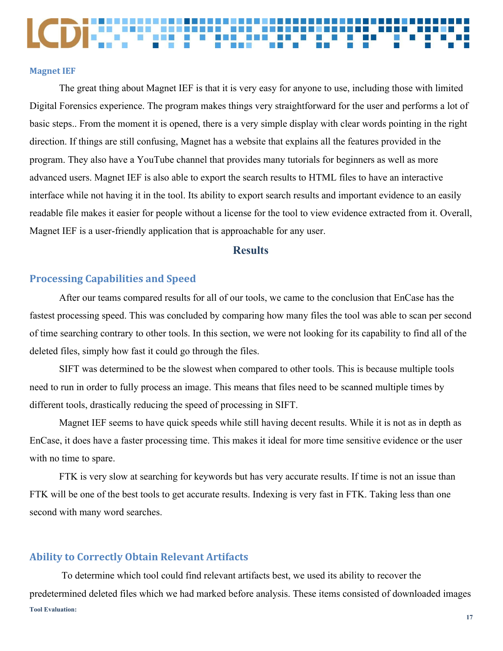<span id="page-16-0"></span>The great thing about Magnet IEF is that it is very easy for anyone to use, including those with limited Digital Forensics experience. The program makes things very straightforward for the user and performs a lot of basic steps.. From the moment it is opened, there is a very simple display with clear words pointing in the right direction. If things are still confusing, Magnet has a website that explains all the features provided in the program. They also have a YouTube channel that provides many tutorials for beginners as well as more advanced users. Magnet IEF is also able to export the search results to HTML files to have an interactive interface while not having it in the tool. Its ability to export search results and important evidence to an easily readable file makes it easier for people without a license for the tool to view evidence extracted from it. Overall, Magnet IEF is a user-friendly application that is approachable for any user.

#### **Results**

#### <span id="page-16-2"></span><span id="page-16-1"></span>**Processing Capabilities and Speed**

After our teams compared results for all of our tools, we came to the conclusion that EnCase has the fastest processing speed. This was concluded by comparing how many files the tool was able to scan per second of time searching contrary to other tools. In this section, we were not looking for its capability to find all of the deleted files, simply how fast it could go through the files.

SIFT was determined to be the slowest when compared to other tools. This is because multiple tools need to run in order to fully process an image. This means that files need to be scanned multiple times by different tools, drastically reducing the speed of processing in SIFT.

Magnet IEF seems to have quick speeds while still having decent results. While it is not as in depth as EnCase, it does have a faster processing time. This makes it ideal for more time sensitive evidence or the user with no time to spare.

FTK is very slow at searching for keywords but has very accurate results. If time is not an issue than FTK will be one of the best tools to get accurate results. Indexing is very fast in FTK. Taking less than one second with many word searches.

#### <span id="page-16-3"></span>**Ability to Correctly Obtain Relevant Artifacts**

To determine which tool could find relevant artifacts best, we used its ability to recover the predetermined deleted files which we had marked before analysis. These items consisted of downloaded images **Tool Evaluation:**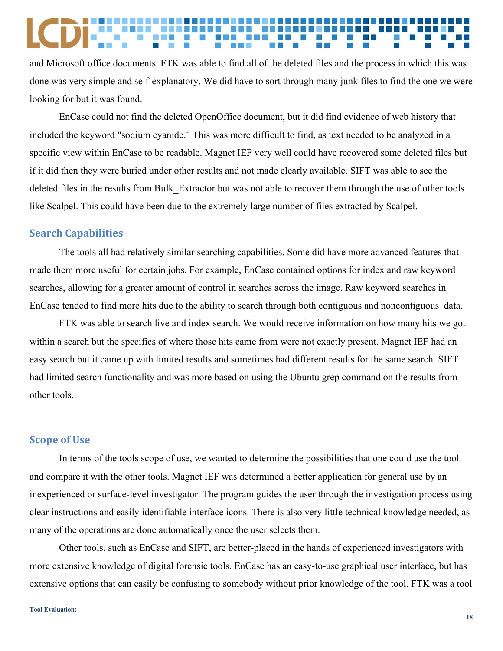and Microsoft office documents. FTK was able to find all of the deleted files and the process in which this was done was very simple and self-explanatory. We did have to sort through many junk files to find the one we were looking for but it was found.

EnCase could not find the deleted OpenOffice document, but it did find evidence of web history that included the keyword "sodium cyanide." This was more difficult to find, as text needed to be analyzed in a specific view within EnCase to be readable. Magnet IEF very well could have recovered some deleted files but if it did then they were buried under other results and not made clearly available. SIFT was able to see the deleted files in the results from Bulk\_Extractor but was not able to recover them through the use of other tools like Scalpel. This could have been due to the extremely large number of files extracted by Scalpel.

#### <span id="page-17-0"></span>**Search Capabilities**

The tools all had relatively similar searching capabilities. Some did have more advanced features that made them more useful for certain jobs. For example, EnCase contained options for index and raw keyword searches, allowing for a greater amount of control in searches across the image. Raw keyword searches in EnCase tended to find more hits due to the ability to search through both contiguous and noncontiguous data.

FTK was able to search live and index search. We would receive information on how many hits we got within a search but the specifics of where those hits came from were not exactly present. Magnet IEF had an easy search but it came up with limited results and sometimes had different results for the same search. SIFT had limited search functionality and was more based on using the Ubuntu grep command on the results from other tools.

#### <span id="page-17-1"></span>**Scope of Use**

In terms of the tools scope of use, we wanted to determine the possibilities that one could use the tool and compare it with the other tools. Magnet IEF was determined a better application for general use by an inexperienced or surface-level investigator. The program guides the user through the investigation process using clear instructions and easily identifiable interface icons. There is also very little technical knowledge needed, as many of the operations are done automatically once the user selects them.

Other tools, such as EnCase and SIFT, are better-placed in the hands of experienced investigators with more extensive knowledge of digital forensic tools. EnCase has an easy-to-use graphical user interface, but has extensive options that can easily be confusing to somebody without prior knowledge of the tool. FTK was a tool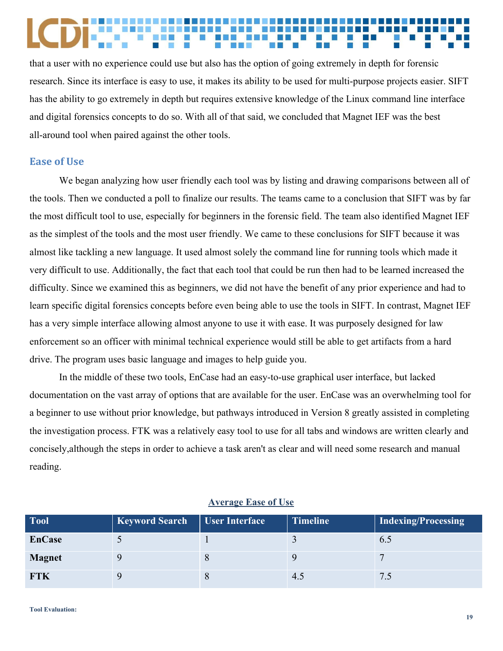that a user with no experience could use but also has the option of going extremely in depth for forensic research. Since its interface is easy to use, it makes its ability to be used for multi-purpose projects easier. SIFT has the ability to go extremely in depth but requires extensive knowledge of the Linux command line interface and digital forensics concepts to do so. With all of that said, we concluded that Magnet IEF was the best all-around tool when paired against the other tools.

#### <span id="page-18-0"></span>**Ease of Use**

We began analyzing how user friendly each tool was by listing and drawing comparisons between all of the tools. Then we conducted a poll to finalize our results. The teams came to a conclusion that SIFT was by far the most difficult tool to use, especially for beginners in the forensic field. The team also identified Magnet IEF as the simplest of the tools and the most user friendly. We came to these conclusions for SIFT because it was almost like tackling a new language. It used almost solely the command line for running tools which made it very difficult to use. Additionally, the fact that each tool that could be run then had to be learned increased the difficulty. Since we examined this as beginners, we did not have the benefit of any prior experience and had to learn specific digital forensics concepts before even being able to use the tools in SIFT. In contrast, Magnet IEF has a very simple interface allowing almost anyone to use it with ease. It was purposely designed for law enforcement so an officer with minimal technical experience would still be able to get artifacts from a hard drive. The program uses basic language and images to help guide you.

In the middle of these two tools, EnCase had an easy-to-use graphical user interface, but lacked documentation on the vast array of options that are available for the user. EnCase was an overwhelming tool for a beginner to use without prior knowledge, but pathways introduced in Version 8 greatly assisted in completing the investigation process. FTK was a relatively easy tool to use for all tabs and windows are written clearly and concisely,although the steps in order to achieve a task aren't as clear and will need some research and manual reading.

| <b>Tool</b>   | <b>Keyword Search</b> | <b>User Interface</b> | <b>Timeline</b> | Indexing/Processing |
|---------------|-----------------------|-----------------------|-----------------|---------------------|
| <b>EnCase</b> |                       |                       |                 | 0.5                 |
| <b>Magnet</b> |                       |                       |                 |                     |
| <b>FTK</b>    |                       |                       | 4.5             |                     |

#### **Average Ease of Use**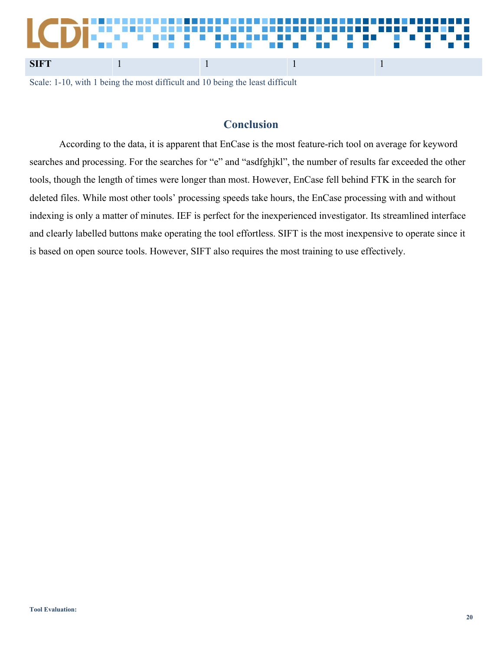# **SIFT** 1 1 1 1 1

Scale: 1-10, with 1 being the most difficult and 10 being the least difficult

### **Conclusion**

<span id="page-19-0"></span>According to the data, it is apparent that EnCase is the most feature-rich tool on average for keyword searches and processing. For the searches for "e" and "asdfghjkl", the number of results far exceeded the other tools, though the length of times were longer than most. However, EnCase fell behind FTK in the search for deleted files. While most other tools' processing speeds take hours, the EnCase processing with and without indexing is only a matter of minutes. IEF is perfect for the inexperienced investigator. Its streamlined interface and clearly labelled buttons make operating the tool effortless. SIFT is the most inexpensive to operate since it is based on open source tools. However, SIFT also requires the most training to use effectively.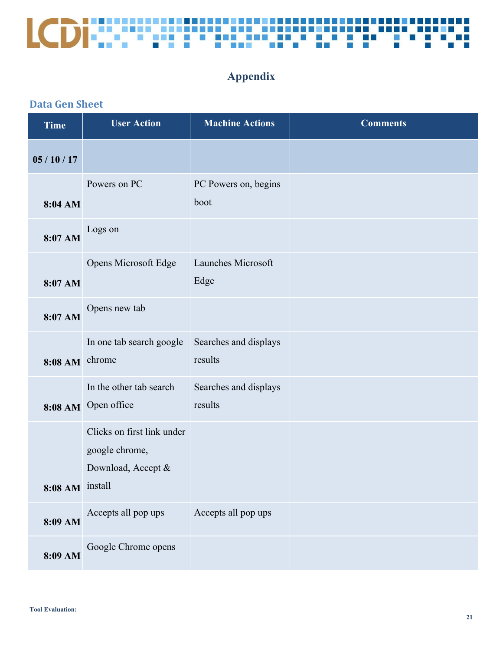

### **Appendix**

### <span id="page-20-1"></span><span id="page-20-0"></span>**Data Gen Sheet**

| <b>Time</b>     | <b>User Action</b>                                                 | <b>Machine Actions</b>           | <b>Comments</b> |
|-----------------|--------------------------------------------------------------------|----------------------------------|-----------------|
| 05/10/17        |                                                                    |                                  |                 |
| 8:04 AM         | Powers on PC                                                       | PC Powers on, begins<br>boot     |                 |
| 8:07 AM         | Logs on                                                            |                                  |                 |
| 8:07 AM         | Opens Microsoft Edge                                               | Launches Microsoft<br>Edge       |                 |
| 8:07 AM         | Opens new tab                                                      |                                  |                 |
| 8:08 AM         | In one tab search google<br>chrome                                 | Searches and displays<br>results |                 |
| 8:08 AM         | In the other tab search<br>Open office                             | Searches and displays<br>results |                 |
|                 | Clicks on first link under<br>google chrome,<br>Download, Accept & |                                  |                 |
| 8:08 AM install |                                                                    |                                  |                 |
| 8:09 AM         | Accepts all pop ups                                                | Accepts all pop ups              |                 |
| 8:09 AM         | Google Chrome opens                                                |                                  |                 |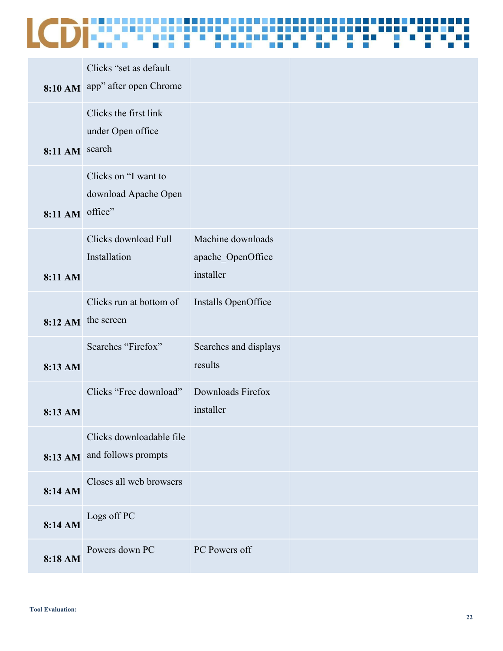|                 | Clicks "set as default"        |                       |  |
|-----------------|--------------------------------|-----------------------|--|
|                 |                                |                       |  |
|                 | 8:10 AM app" after open Chrome |                       |  |
|                 | Clicks the first link          |                       |  |
|                 | under Open office              |                       |  |
| 8:11 AM search  |                                |                       |  |
|                 |                                |                       |  |
|                 | Clicks on "I want to           |                       |  |
|                 | download Apache Open           |                       |  |
| 8:11 AM office" |                                |                       |  |
|                 | Clicks download Full           | Machine downloads     |  |
|                 | Installation                   | apache_OpenOffice     |  |
| 8:11 AM         |                                | installer             |  |
|                 |                                |                       |  |
|                 | Clicks run at bottom of        | Installs OpenOffice   |  |
|                 | 8:12 AM the screen             |                       |  |
|                 | Searches "Firefox"             | Searches and displays |  |
|                 |                                | results               |  |
| 8:13 AM         |                                |                       |  |
|                 | Clicks "Free download"         | Downloads Firefox     |  |
| 8:13 AM         |                                | installer             |  |
|                 |                                |                       |  |
|                 | Clicks downloadable file       |                       |  |
|                 | 8:13 AM and follows prompts    |                       |  |
|                 | Closes all web browsers        |                       |  |
| 8:14 AM         |                                |                       |  |
|                 | Logs off PC                    |                       |  |
| 8:14 AM         |                                |                       |  |
|                 | Powers down PC                 | PC Powers off         |  |
| 8:18 AM         |                                |                       |  |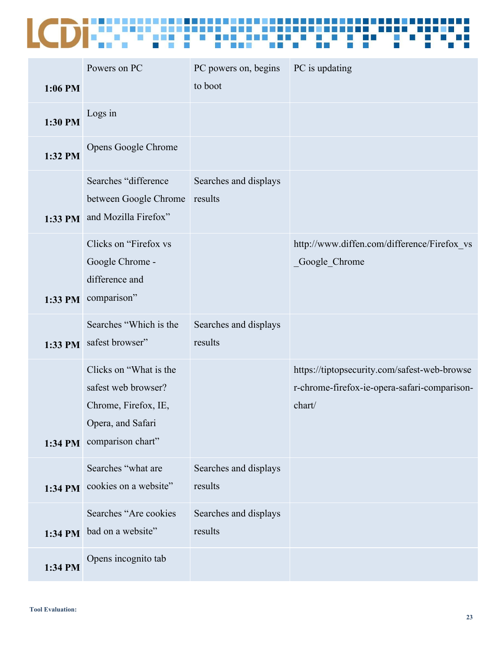| 1:06 PM | Powers on PC                                                                                                            | PC powers on, begins<br>to boot  | PC is updating                                                                                         |
|---------|-------------------------------------------------------------------------------------------------------------------------|----------------------------------|--------------------------------------------------------------------------------------------------------|
| 1:30 PM | Logs in                                                                                                                 |                                  |                                                                                                        |
| 1:32 PM | Opens Google Chrome                                                                                                     |                                  |                                                                                                        |
| 1:33 PM | Searches "difference<br>between Google Chrome<br>and Mozilla Firefox"                                                   | Searches and displays<br>results |                                                                                                        |
| 1:33 PM | Clicks on "Firefox vs<br>Google Chrome -<br>difference and<br>comparison"                                               |                                  | http://www.diffen.com/difference/Firefox vs<br>_Google_Chrome                                          |
| 1:33 PM | Searches "Which is the<br>safest browser"                                                                               | Searches and displays<br>results |                                                                                                        |
|         | Clicks on "What is the<br>safest web browser?<br>Chrome, Firefox, IE,<br>Opera, and Safari<br>1:34 PM comparison chart" |                                  | https://tiptopsecurity.com/safest-web-browse<br>r-chrome-firefox-ie-opera-safari-comparison-<br>chart/ |
| 1:34 PM | Searches "what are<br>cookies on a website"                                                                             | Searches and displays<br>results |                                                                                                        |
| 1:34 PM | Searches "Are cookies<br>bad on a website"                                                                              | Searches and displays<br>results |                                                                                                        |
| 1:34 PM | Opens incognito tab                                                                                                     |                                  |                                                                                                        |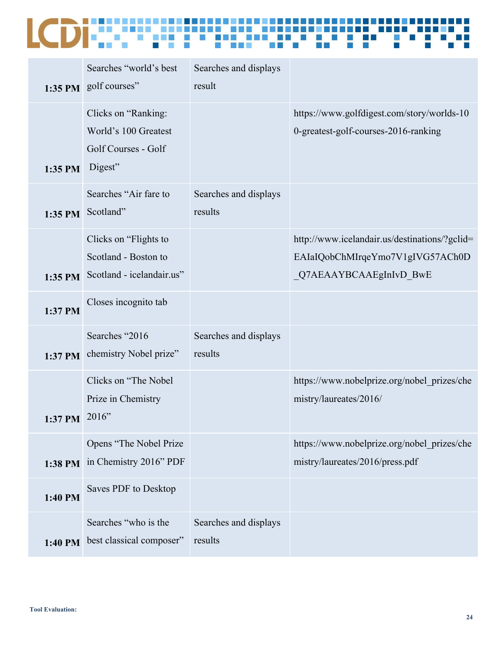|         | Searches "world's best<br>1:35 PM golf courses"                               | Searches and displays<br>result  |                                                                                                             |
|---------|-------------------------------------------------------------------------------|----------------------------------|-------------------------------------------------------------------------------------------------------------|
| 1:35 PM | Clicks on "Ranking:<br>World's 100 Greatest<br>Golf Courses - Golf<br>Digest" |                                  | https://www.golfdigest.com/story/worlds-10<br>0-greatest-golf-courses-2016-ranking                          |
| 1:35 PM | Searches "Air fare to<br>Scotland"                                            | Searches and displays<br>results |                                                                                                             |
| 1:35 PM | Clicks on "Flights to"<br>Scotland - Boston to<br>Scotland - icelandair.us"   |                                  | http://www.icelandair.us/destinations/?gclid=<br>EAIaIQobChMIrqeYmo7V1gIVG57ACh0D<br>Q7AEAAYBCAAEgInIvD BwE |
| 1:37 PM | Closes incognito tab                                                          |                                  |                                                                                                             |
| 1:37 PM | Searches "2016<br>chemistry Nobel prize"                                      | Searches and displays<br>results |                                                                                                             |
| 1:37 PM | Clicks on "The Nobel<br>Prize in Chemistry<br>2016"                           |                                  | https://www.nobelprize.org/nobel prizes/che<br>mistry/laureates/2016/                                       |
| 1:38 PM | Opens "The Nobel Prize<br>in Chemistry 2016" PDF                              |                                  | https://www.nobelprize.org/nobel prizes/che<br>mistry/laureates/2016/press.pdf                              |
| 1:40 PM | Saves PDF to Desktop                                                          |                                  |                                                                                                             |
|         | Searches "who is the<br>1:40 PM best classical composer"                      | Searches and displays<br>results |                                                                                                             |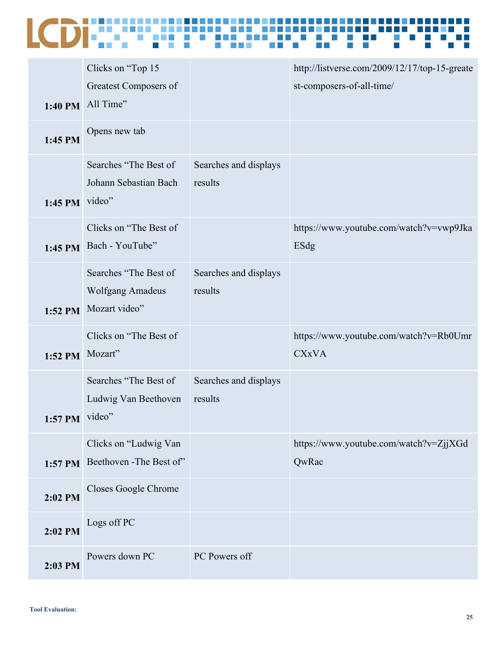| 1:40 PM          | Clicks on "Top 15<br>Greatest Composers of<br>All Time"    |                                  | http://listverse.com/2009/12/17/top-15-greate<br>st-composers-of-all-time/ |
|------------------|------------------------------------------------------------|----------------------------------|----------------------------------------------------------------------------|
| 1:45 PM          | Opens new tab                                              |                                  |                                                                            |
| 1:45 PM video"   | Searches "The Best of<br>Johann Sebastian Bach             | Searches and displays<br>results |                                                                            |
| 1:45 PM          | Clicks on "The Best of<br>Bach - YouTube"                  |                                  | https://www.youtube.com/watch?v=vwp9Jka<br>ESdg                            |
| 1:52 PM          | Searches "The Best of<br>Wolfgang Amadeus<br>Mozart video" | Searches and displays<br>results |                                                                            |
| $1:52$ PM        | Clicks on "The Best of<br>Mozart"                          |                                  | https://www.youtube.com/watch?v=Rb0Umr<br><b>CXxVA</b>                     |
| $1:57$ PM video" | Searches "The Best of<br>Ludwig Van Beethoven              | Searches and displays<br>results |                                                                            |
| 1:57 PM          | Clicks on "Ludwig Van<br>Beethoven - The Best of"          |                                  | https://www.youtube.com/watch?v=ZjjXGd<br>QwRac                            |
| 2:02 PM          | Closes Google Chrome                                       |                                  |                                                                            |
| 2:02 PM          | Logs off PC                                                |                                  |                                                                            |
| 2:03 PM          | Powers down PC                                             | PC Powers off                    |                                                                            |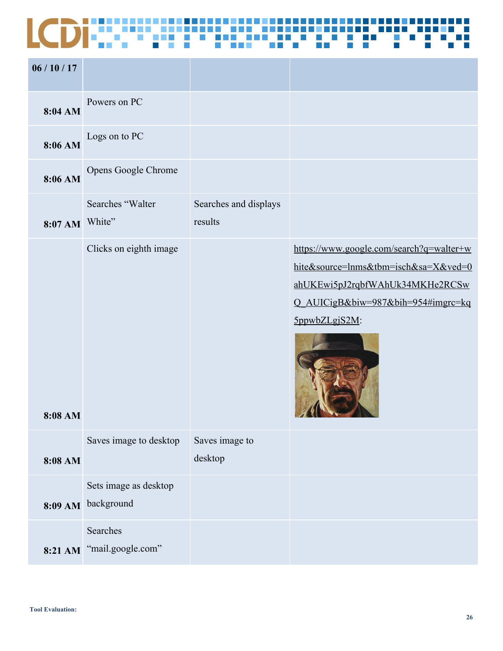| 06/10/17  |                                     |                                  |                                                                                                                                                                            |
|-----------|-------------------------------------|----------------------------------|----------------------------------------------------------------------------------------------------------------------------------------------------------------------------|
| 8:04 AM   | Powers on PC                        |                                  |                                                                                                                                                                            |
| 8:06 AM   | Logs on to PC                       |                                  |                                                                                                                                                                            |
| 8:06 AM   | Opens Google Chrome                 |                                  |                                                                                                                                                                            |
| $8:07$ AM | Searches "Walter<br>White"          | Searches and displays<br>results |                                                                                                                                                                            |
| 8:08 AM   | Clicks on eighth image              |                                  | https://www.google.com/search?q=walter+w<br>hite&source=lnms&tbm=isch&sa=X&ved=0<br>ahUKEwi5pJ2rqbfWAhUk34MKHe2RCSw<br>Q_AUICigB&biw=987&bih=954#imgrc=kq<br>5ppwbZLgjS2M: |
| 8:08 AM   | Saves image to desktop              | Saves image to<br>desktop        |                                                                                                                                                                            |
| 8:09 AM   | Sets image as desktop<br>background |                                  |                                                                                                                                                                            |
| 8:21 AM   | Searches<br>"mail.google.com"       |                                  |                                                                                                                                                                            |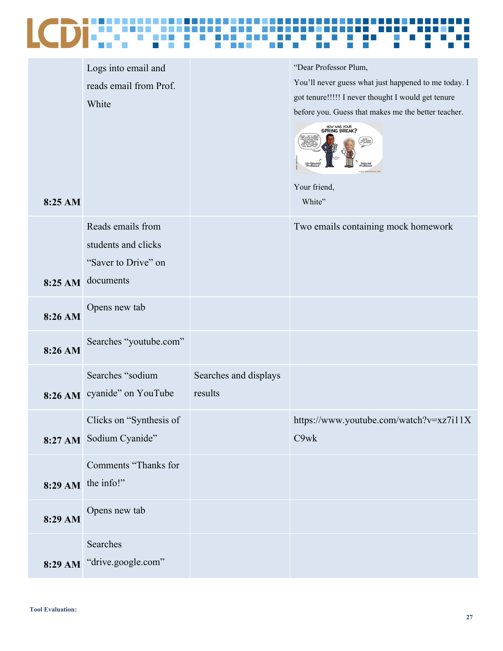

|         | Logs into email and        |                       | "Dear Professor Plum,                                |
|---------|----------------------------|-----------------------|------------------------------------------------------|
|         | reads email from Prof.     |                       | You'll never guess what just happened to me today. I |
|         | White                      |                       | got tenure!!!!! I never thought I would get tenure   |
|         |                            |                       | before you. Guess that makes me the better teacher.  |
|         |                            |                       | HOW WAS YOUR<br><b>SPRING BREAK?</b>                 |
|         |                            |                       |                                                      |
|         |                            |                       |                                                      |
|         |                            |                       |                                                      |
|         |                            |                       | Your friend,                                         |
| 8:25 AM |                            |                       | White"                                               |
|         |                            |                       |                                                      |
|         | Reads emails from          |                       | Two emails containing mock homework                  |
|         | students and clicks        |                       |                                                      |
|         |                            |                       |                                                      |
|         | "Saver to Drive" on        |                       |                                                      |
| 8:25 AM | documents                  |                       |                                                      |
|         |                            |                       |                                                      |
|         | Opens new tab              |                       |                                                      |
| 8:26 AM |                            |                       |                                                      |
|         | Searches "youtube.com"     |                       |                                                      |
| 8:26 AM |                            |                       |                                                      |
|         | Searches "sodium           |                       |                                                      |
|         |                            | Searches and displays |                                                      |
| 8:26 AM | cyanide" on YouTube        | results               |                                                      |
|         |                            |                       |                                                      |
|         | Clicks on "Synthesis of    |                       | https://www.youtube.com/watch?v=xz7i11X              |
|         | 8:27 AM Sodium Cyanide"    |                       | C9wk                                                 |
|         |                            |                       |                                                      |
|         | Comments "Thanks for       |                       |                                                      |
|         | $8:29$ AM the info!"       |                       |                                                      |
|         |                            |                       |                                                      |
| 8:29 AM | Opens new tab              |                       |                                                      |
|         |                            |                       |                                                      |
|         | Searches                   |                       |                                                      |
|         | 8:29 AM "drive.google.com" |                       |                                                      |
|         |                            |                       |                                                      |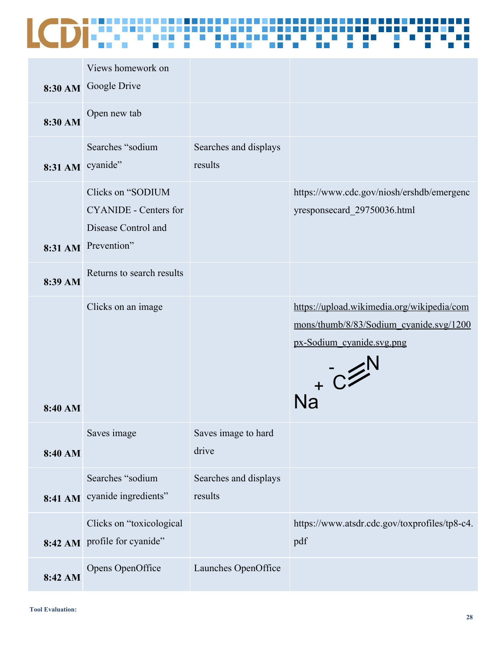### a E

|                  | Views homework on<br>8:30 AM Google Drive                                                       |                                  |                                                                                                                                |
|------------------|-------------------------------------------------------------------------------------------------|----------------------------------|--------------------------------------------------------------------------------------------------------------------------------|
| 8:30 AM          | Open new tab                                                                                    |                                  |                                                                                                                                |
| 8:31 AM cyanide" | Searches "sodium                                                                                | Searches and displays<br>results |                                                                                                                                |
|                  | Clicks on "SODIUM<br><b>CYANIDE</b> - Centers for<br>Disease Control and<br>8:31 AM Prevention" |                                  | https://www.cdc.gov/niosh/ershdb/emergenc<br>yresponsecard_29750036.html                                                       |
| 8:39 AM          | Returns to search results                                                                       |                                  |                                                                                                                                |
| 8:40 AM          | Clicks on an image                                                                              |                                  | https://upload.wikimedia.org/wikipedia/com<br>mons/thumb/8/83/Sodium_cyanide.svg/1200<br>px-Sodium_cyanide.svg.png<br>$Na + C$ |
| 8:40 AM          | Saves image                                                                                     | Saves image to hard<br>drive     |                                                                                                                                |
|                  | Searches "sodium<br>8:41 AM cyanide ingredients"                                                | Searches and displays<br>results |                                                                                                                                |
| 8:42 AM          | Clicks on "toxicological<br>profile for cyanide"                                                |                                  | https://www.atsdr.cdc.gov/toxprofiles/tp8-c4.<br>pdf                                                                           |
| 8:42 AM          | Opens OpenOffice                                                                                | Launches OpenOffice              |                                                                                                                                |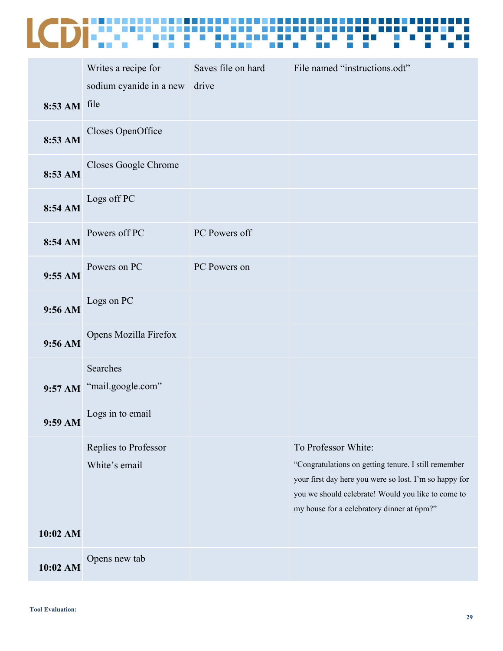

|              | Writes a recipe for                   | Saves file on hard | File named "instructions.odt"                                                                                                                                                                                                             |
|--------------|---------------------------------------|--------------------|-------------------------------------------------------------------------------------------------------------------------------------------------------------------------------------------------------------------------------------------|
| 8:53 AM file | sodium cyanide in a new               | drive              |                                                                                                                                                                                                                                           |
| 8:53 AM      | Closes OpenOffice                     |                    |                                                                                                                                                                                                                                           |
| 8:53 AM      | Closes Google Chrome                  |                    |                                                                                                                                                                                                                                           |
| 8:54 AM      | Logs off PC                           |                    |                                                                                                                                                                                                                                           |
| 8:54 AM      | Powers off PC                         | PC Powers off      |                                                                                                                                                                                                                                           |
| 9:55 AM      | Powers on PC                          | PC Powers on       |                                                                                                                                                                                                                                           |
| 9:56 AM      | Logs on PC                            |                    |                                                                                                                                                                                                                                           |
| 9:56 AM      | Opens Mozilla Firefox                 |                    |                                                                                                                                                                                                                                           |
|              | Searches<br>9:57 AM "mail.google.com" |                    |                                                                                                                                                                                                                                           |
| 9:59 AM      | Logs in to email                      |                    |                                                                                                                                                                                                                                           |
| 10:02 AM     | Replies to Professor<br>White's email |                    | To Professor White:<br>"Congratulations on getting tenure. I still remember<br>your first day here you were so lost. I'm so happy for<br>you we should celebrate! Would you like to come to<br>my house for a celebratory dinner at 6pm?" |
| 10:02 AM     | Opens new tab                         |                    |                                                                                                                                                                                                                                           |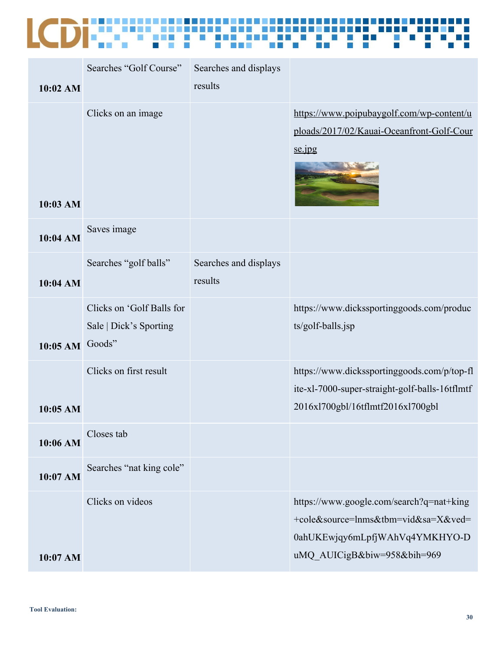| 10:02 AM        | Searches "Golf Course"                              | Searches and displays<br>results |                                                                                                                                                  |
|-----------------|-----------------------------------------------------|----------------------------------|--------------------------------------------------------------------------------------------------------------------------------------------------|
| 10:03 AM        | Clicks on an image                                  |                                  | https://www.poipubaygolf.com/wp-content/u<br>ploads/2017/02/Kauai-Oceanfront-Golf-Cour<br>se.jpg                                                 |
| 10:04 AM        | Saves image                                         |                                  |                                                                                                                                                  |
| 10:04 AM        | Searches "golf balls"                               | Searches and displays<br>results |                                                                                                                                                  |
| 10:05 AM Goods" | Clicks on 'Golf Balls for<br>Sale   Dick's Sporting |                                  | https://www.dickssportinggoods.com/produc<br>ts/golf-balls.jsp                                                                                   |
| 10:05 AM        | Clicks on first result                              |                                  | https://www.dickssportinggoods.com/p/top-fl<br>ite-xl-7000-super-straight-golf-balls-16tflmtf<br>2016x1700gbl/16tflmtf2016x1700gbl               |
| 10:06 AM        | Closes tab                                          |                                  |                                                                                                                                                  |
| 10:07 AM        | Searches "nat king cole"                            |                                  |                                                                                                                                                  |
| 10:07 AM        | Clicks on videos                                    |                                  | https://www.google.com/search?q=nat+king<br>+cole&source=lnms&tbm=vid&sa=X&ved=<br>0ahUKEwjqy6mLpfjWAhVq4YMKHYO-D<br>uMQ_AUICigB&biw=958&bih=969 |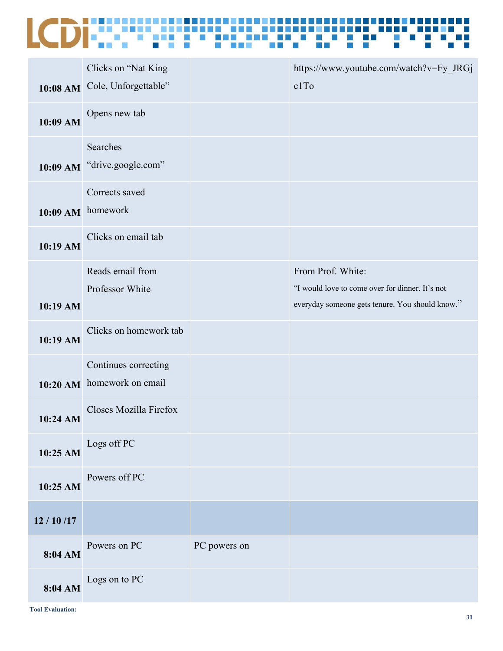|              | Clicks on "Nat King<br>10:08 AM Cole, Unforgettable" |              | https://www.youtube.com/watch?v=Fy_JRGj<br>c1To                                                                         |
|--------------|------------------------------------------------------|--------------|-------------------------------------------------------------------------------------------------------------------------|
| 10:09 AM     | Opens new tab                                        |              |                                                                                                                         |
| $10:09$ AM   | Searches<br>"drive.google.com"                       |              |                                                                                                                         |
|              | Corrects saved<br>10:09 AM homework                  |              |                                                                                                                         |
| 10:19 AM     | Clicks on email tab                                  |              |                                                                                                                         |
| 10:19 AM     | Reads email from<br>Professor White                  |              | From Prof. White:<br>"I would love to come over for dinner. It's not<br>everyday someone gets tenure. You should know." |
| 10:19 AM     | Clicks on homework tab                               |              |                                                                                                                         |
| $10:20$ AM   | Continues correcting<br>homework on email            |              |                                                                                                                         |
| 10:24 AM     | Closes Mozilla Firefox                               |              |                                                                                                                         |
| 10:25 AM     | Logs off PC                                          |              |                                                                                                                         |
| 10:25 AM     | Powers off PC                                        |              |                                                                                                                         |
| 12 / 10 / 17 |                                                      |              |                                                                                                                         |
| 8:04 AM      | Powers on PC                                         | PC powers on |                                                                                                                         |
| 8:04 AM      | Logs on to PC                                        |              |                                                                                                                         |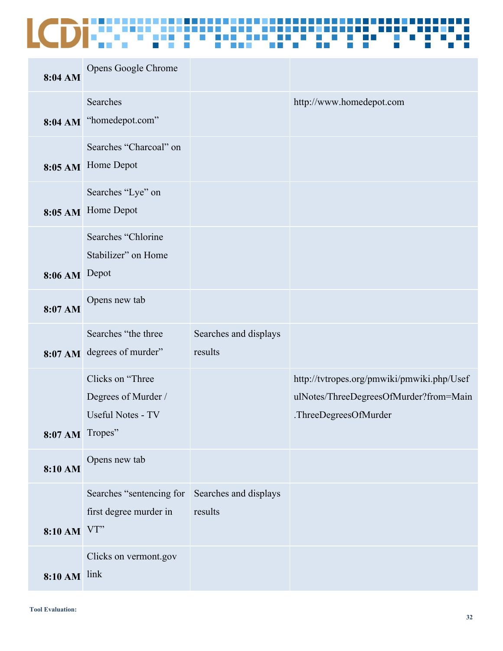| 8:04 AM             | Opens Google Chrome                                                 |                                  |                                                                                                               |
|---------------------|---------------------------------------------------------------------|----------------------------------|---------------------------------------------------------------------------------------------------------------|
|                     | Searches<br>8:04 AM "homedepot.com"                                 |                                  | http://www.homedepot.com                                                                                      |
| 8:05 AM             | Searches "Charcoal" on<br>Home Depot                                |                                  |                                                                                                               |
|                     | Searches "Lye" on<br>8:05 AM Home Depot                             |                                  |                                                                                                               |
| 8:06 AM Depot       | Searches "Chlorine<br>Stabilizer" on Home                           |                                  |                                                                                                               |
| 8:07 AM             | Opens new tab                                                       |                                  |                                                                                                               |
| 8:07 AM             | Searches "the three<br>degrees of murder"                           | Searches and displays<br>results |                                                                                                               |
| 8:07 AM Tropes"     | Clicks on "Three<br>Degrees of Murder /<br><b>Useful Notes - TV</b> |                                  | http://tvtropes.org/pmwiki/pmwiki.php/Usef<br>ulNotes/ThreeDegreesOfMurder?from=Main<br>.ThreeDegreesOfMurder |
| 8:10 AM             | Opens new tab                                                       |                                  |                                                                                                               |
| 8:10 AM VT"         | Searches "sentencing for<br>first degree murder in                  | Searches and displays<br>results |                                                                                                               |
| <b>8:10 AM</b> link | Clicks on vermont.gov                                               |                                  |                                                                                                               |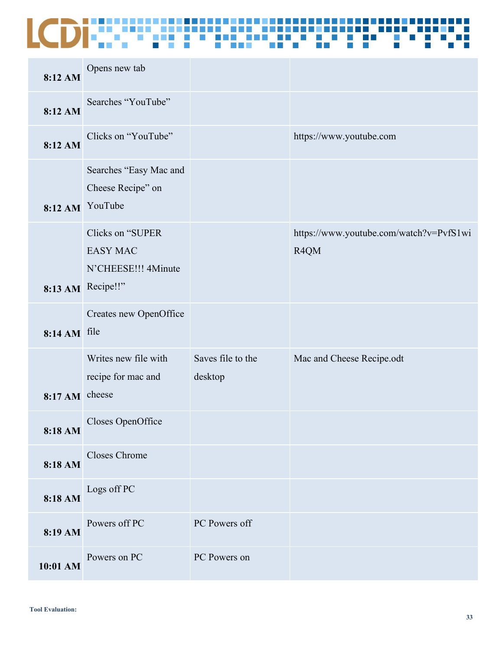| 8:12 AM        | Opens new tab                                                                   |                              |                                                 |
|----------------|---------------------------------------------------------------------------------|------------------------------|-------------------------------------------------|
| 8:12 AM        | Searches "YouTube"                                                              |                              |                                                 |
| 8:12 AM        | Clicks on "YouTube"                                                             |                              | https://www.youtube.com                         |
|                | Searches "Easy Mac and<br>Cheese Recipe" on<br>8:12 AM YouTube                  |                              |                                                 |
|                | Clicks on "SUPER<br><b>EASY MAC</b><br>N'CHEESE!!! 4Minute<br>8:13 AM Recipe!!" |                              | https://www.youtube.com/watch?v=PvfS1wi<br>R4QM |
| 8:14 AM file   | Creates new OpenOffice                                                          |                              |                                                 |
| 8:17 AM cheese | Writes new file with<br>recipe for mac and                                      | Saves file to the<br>desktop | Mac and Cheese Recipe.odt                       |
| 8:18 AM        | Closes OpenOffice                                                               |                              |                                                 |
| 8:18 AM        | Closes Chrome                                                                   |                              |                                                 |
| 8:18 AM        | Logs off PC                                                                     |                              |                                                 |
| 8:19 AM        | Powers off PC                                                                   | PC Powers off                |                                                 |
| 10:01 AM       | Powers on PC                                                                    | PC Powers on                 |                                                 |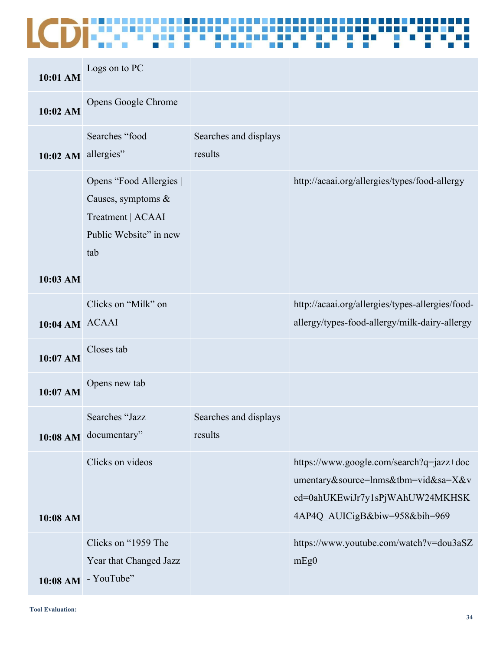| 10:01 AM       | Logs on to PC                                                                                          |                                  |                                                                                                                                                     |
|----------------|--------------------------------------------------------------------------------------------------------|----------------------------------|-----------------------------------------------------------------------------------------------------------------------------------------------------|
| 10:02 AM       | Opens Google Chrome                                                                                    |                                  |                                                                                                                                                     |
| $10:02$ AM     | Searches "food<br>allergies"                                                                           | Searches and displays<br>results |                                                                                                                                                     |
|                | Opens "Food Allergies  <br>Causes, symptoms $\&$<br>Treatment   ACAAI<br>Public Website" in new<br>tab |                                  | http://acaai.org/allergies/types/food-allergy                                                                                                       |
| 10:03 AM       |                                                                                                        |                                  |                                                                                                                                                     |
| 10:04 AM ACAAI | Clicks on "Milk" on                                                                                    |                                  | http://acaai.org/allergies/types-allergies/food-<br>allergy/types-food-allergy/milk-dairy-allergy                                                   |
| 10:07 AM       | Closes tab                                                                                             |                                  |                                                                                                                                                     |
| 10:07 AM       | Opens new tab                                                                                          |                                  |                                                                                                                                                     |
|                | Searches "Jazz<br>10:08 AM documentary"                                                                | Searches and displays<br>results |                                                                                                                                                     |
| 10:08 AM       | Clicks on videos                                                                                       |                                  | https://www.google.com/search?q=jazz+doc<br>umentary&source=lnms&tbm=vid&sa=X&v<br>ed=0ahUKEwiJr7y1sPjWAhUW24MKHSK<br>4AP4Q AUICigB&biw=958&bih=969 |
|                | Clicks on "1959 The<br>Year that Changed Jazz<br>10:08 AM - YouTube"                                   |                                  | https://www.youtube.com/watch?v=dou3aSZ<br>mEg0                                                                                                     |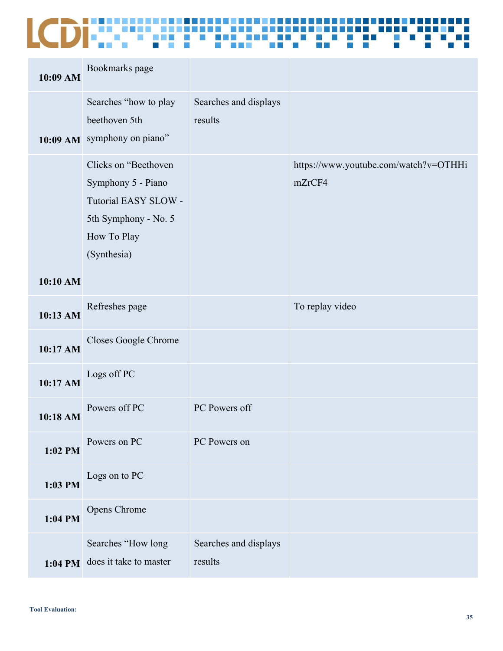| 10:09 AM | Bookmarks page                                                                                                           |                                  |                                                 |
|----------|--------------------------------------------------------------------------------------------------------------------------|----------------------------------|-------------------------------------------------|
|          | Searches "how to play<br>beethoven 5th<br>10:09 AM symphony on piano"                                                    | Searches and displays<br>results |                                                 |
|          | Clicks on "Beethoven<br>Symphony 5 - Piano<br>Tutorial EASY SLOW -<br>5th Symphony - No. 5<br>How To Play<br>(Synthesia) |                                  | https://www.youtube.com/watch?v=OTHHi<br>mZrCF4 |
| 10:10 AM |                                                                                                                          |                                  |                                                 |
| 10:13 AM | Refreshes page                                                                                                           |                                  | To replay video                                 |
| 10:17 AM | Closes Google Chrome                                                                                                     |                                  |                                                 |
| 10:17 AM | Logs off PC                                                                                                              |                                  |                                                 |
| 10:18 AM | Powers off PC                                                                                                            | PC Powers off                    |                                                 |
| 1:02 PM  | Powers on PC                                                                                                             | PC Powers on                     |                                                 |
| 1:03 PM  | Logs on to PC                                                                                                            |                                  |                                                 |
| 1:04 PM  | Opens Chrome                                                                                                             |                                  |                                                 |
| 1:04 PM  | Searches "How long<br>does it take to master                                                                             | Searches and displays<br>results |                                                 |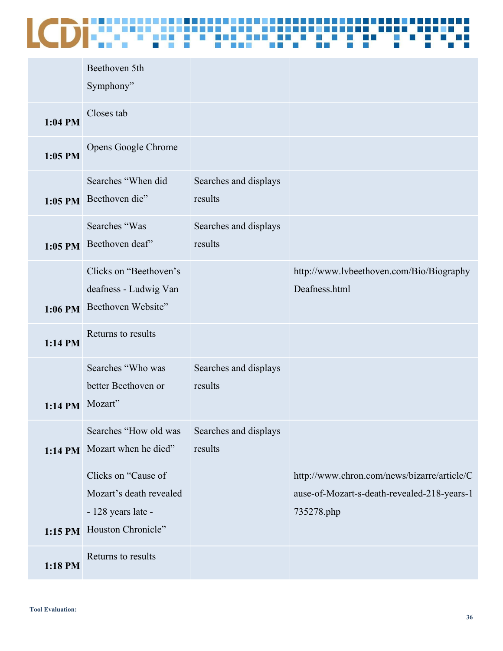|                 | Beethoven 5th<br>Symphony"                                                                 |                                  |                                                                                                          |
|-----------------|--------------------------------------------------------------------------------------------|----------------------------------|----------------------------------------------------------------------------------------------------------|
| $1:04$ PM       | Closes tab                                                                                 |                                  |                                                                                                          |
| $1:05$ PM       | Opens Google Chrome                                                                        |                                  |                                                                                                          |
|                 | Searches "When did<br>1:05 PM Beethoven die"                                               | Searches and displays<br>results |                                                                                                          |
|                 | Searches "Was<br>1:05 PM Beethoven deaf"                                                   | Searches and displays<br>results |                                                                                                          |
| $1:06$ PM       | Clicks on "Beethoven's<br>deafness - Ludwig Van<br>Beethoven Website"                      |                                  | http://www.lvbeethoven.com/Bio/Biography<br>Deafness.html                                                |
| $1:14$ PM       | Returns to results                                                                         |                                  |                                                                                                          |
| 1:14 PM Mozart" | Searches "Who was<br>better Beethoven or                                                   | Searches and displays<br>results |                                                                                                          |
|                 | Searches "How old was<br>1:14 PM Mozart when he died"                                      | Searches and displays<br>results |                                                                                                          |
| $1:15$ PM       | Clicks on "Cause of<br>Mozart's death revealed<br>- 128 years late -<br>Houston Chronicle" |                                  | http://www.chron.com/news/bizarre/article/C<br>ause-of-Mozart-s-death-revealed-218-years-1<br>735278.php |
| 1:18 PM         | Returns to results                                                                         |                                  |                                                                                                          |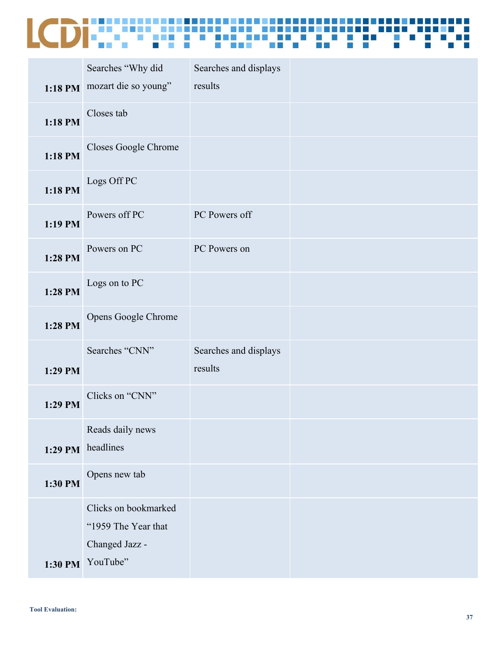|         | Searches "Why did                                                                 | Searches and displays            |  |
|---------|-----------------------------------------------------------------------------------|----------------------------------|--|
|         | 1:18 PM mozart die so young"                                                      | results                          |  |
| 1:18 PM | Closes tab                                                                        |                                  |  |
| 1:18 PM | Closes Google Chrome                                                              |                                  |  |
| 1:18 PM | Logs Off PC                                                                       |                                  |  |
| 1:19 PM | Powers off PC                                                                     | PC Powers off                    |  |
| 1:28 PM | Powers on PC                                                                      | PC Powers on                     |  |
| 1:28 PM | Logs on to PC                                                                     |                                  |  |
| 1:28 PM | Opens Google Chrome                                                               |                                  |  |
| 1:29 PM | Searches "CNN"                                                                    | Searches and displays<br>results |  |
| 1:29 PM | Clicks on "CNN"                                                                   |                                  |  |
|         | Reads daily news<br>1:29 PM headlines                                             |                                  |  |
| 1:30 PM | Opens new tab                                                                     |                                  |  |
|         | Clicks on bookmarked<br>"1959 The Year that<br>Changed Jazz -<br>1:30 PM YouTube" |                                  |  |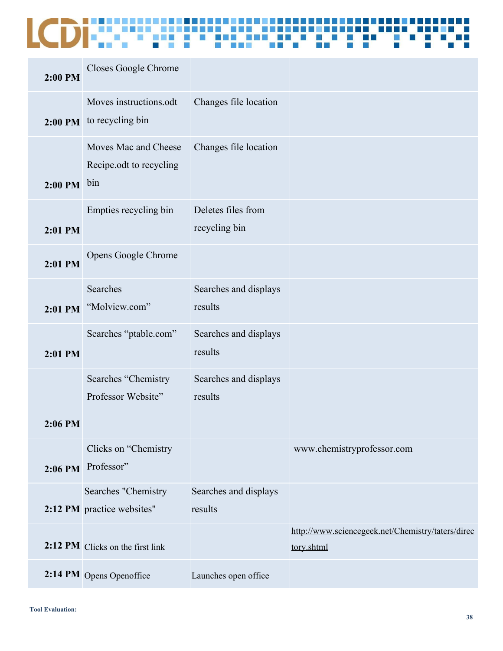| 2:00 PM | Closes Google Chrome                                   |                                     |                                                                 |
|---------|--------------------------------------------------------|-------------------------------------|-----------------------------------------------------------------|
| 2:00 PM | Moves instructions.odt<br>to recycling bin             | Changes file location               |                                                                 |
| 2:00 PM | Moves Mac and Cheese<br>Recipe odt to recycling<br>bin | Changes file location               |                                                                 |
| 2:01 PM | Empties recycling bin                                  | Deletes files from<br>recycling bin |                                                                 |
| 2:01 PM | Opens Google Chrome                                    |                                     |                                                                 |
| 2:01 PM | Searches<br>"Molview.com"                              | Searches and displays<br>results    |                                                                 |
| 2:01 PM | Searches "ptable.com"                                  | Searches and displays<br>results    |                                                                 |
| 2:06 PM | Searches "Chemistry<br>Professor Website"              | Searches and displays<br>results    |                                                                 |
|         | Clicks on "Chemistry<br>2:06 PM Professor"             |                                     | www.chemistryprofessor.com                                      |
|         | Searches "Chemistry<br>2:12 PM practice websites"      | Searches and displays<br>results    |                                                                 |
|         | 2:12 PM Clicks on the first link                       |                                     | http://www.sciencegeek.net/Chemistry/taters/direc<br>tory.shtml |
|         | 2:14 PM Opens Openoffice                               | Launches open office                |                                                                 |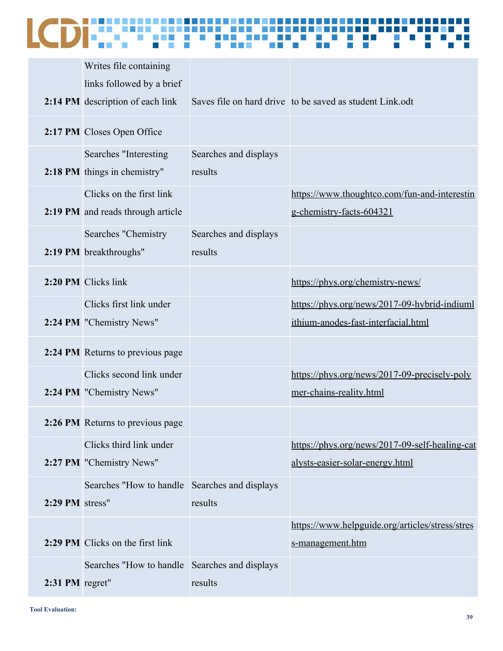### Ŧ

|                 | Writes file containing                                        |                                  |                                                                                     |
|-----------------|---------------------------------------------------------------|----------------------------------|-------------------------------------------------------------------------------------|
|                 | links followed by a brief                                     |                                  |                                                                                     |
|                 | 2:14 PM description of each link                              |                                  | Saves file on hard drive to be saved as student Link odt                            |
|                 | 2:17 PM Closes Open Office                                    |                                  |                                                                                     |
|                 | Searches "Interesting<br>2:18 PM things in chemistry"         | Searches and displays<br>results |                                                                                     |
|                 | Clicks on the first link<br>2:19 PM and reads through article |                                  | https://www.thoughtco.com/fun-and-interestin<br>g-chemistry-facts-604321            |
|                 | Searches "Chemistry<br>2:19 PM breakthroughs"                 | Searches and displays<br>results |                                                                                     |
|                 | 2:20 PM Clicks link                                           |                                  | https://phys.org/chemistry-news/                                                    |
|                 | Clicks first link under<br>2:24 PM "Chemistry News"           |                                  | https://phys.org/news/2017-09-hybrid-indiuml<br>ithium-anodes-fast-interfacial.html |
|                 | 2:24 PM Returns to previous page                              |                                  |                                                                                     |
|                 | Clicks second link under<br>2:24 PM "Chemistry News"          |                                  | https://phys.org/news/2017-09-precisely-poly<br>mer-chains-reality.html             |
|                 | 2:26 PM Returns to previous page                              |                                  |                                                                                     |
|                 | Clicks third link under<br>2:27 PM "Chemistry News"           |                                  | https://phys.org/news/2017-09-self-healing-cat<br>alysts-easier-solar-energy.html   |
| 2:29 PM stress" | Searches "How to handle Searches and displays"                | results                          |                                                                                     |
|                 | 2:29 PM Clicks on the first link                              |                                  | https://www.helpguide.org/articles/stress/stres<br>s-management.htm                 |
| 2:31 PM regret" | Searches "How to handle Searches and displays                 | results                          |                                                                                     |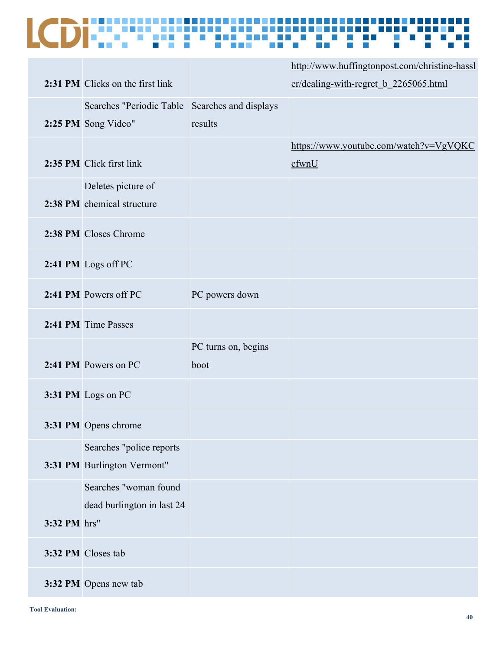|              |                                                |                     | http://www.huffingtonpost.com/christine-hassl |
|--------------|------------------------------------------------|---------------------|-----------------------------------------------|
|              | 2:31 PM Clicks on the first link               |                     | er/dealing-with-regret_b_2265065.html         |
|              | Searches "Periodic Table Searches and displays |                     |                                               |
|              | 2:25 PM Song Video"                            | results             |                                               |
|              |                                                |                     | https://www.youtube.com/watch?v=VgVQKC        |
|              | 2:35 PM Click first link                       |                     | cfwnU                                         |
|              | Deletes picture of                             |                     |                                               |
|              | 2:38 PM chemical structure                     |                     |                                               |
|              | 2:38 PM Closes Chrome                          |                     |                                               |
|              |                                                |                     |                                               |
|              | 2:41 PM Logs off PC                            |                     |                                               |
|              | 2:41 PM Powers off PC                          | PC powers down      |                                               |
|              | 2:41 PM Time Passes                            |                     |                                               |
|              |                                                | PC turns on, begins |                                               |
|              | 2:41 PM Powers on PC                           | boot                |                                               |
|              | 3:31 PM Logs on PC                             |                     |                                               |
|              | 3:31 PM Opens chrome                           |                     |                                               |
|              | Searches "police reports                       |                     |                                               |
|              | 3:31 PM Burlington Vermont"                    |                     |                                               |
|              | Searches "woman found                          |                     |                                               |
|              | dead burlington in last 24                     |                     |                                               |
| 3:32 PM hrs" |                                                |                     |                                               |
|              | 3:32 PM Closes tab                             |                     |                                               |
|              | 3:32 PM Opens new tab                          |                     |                                               |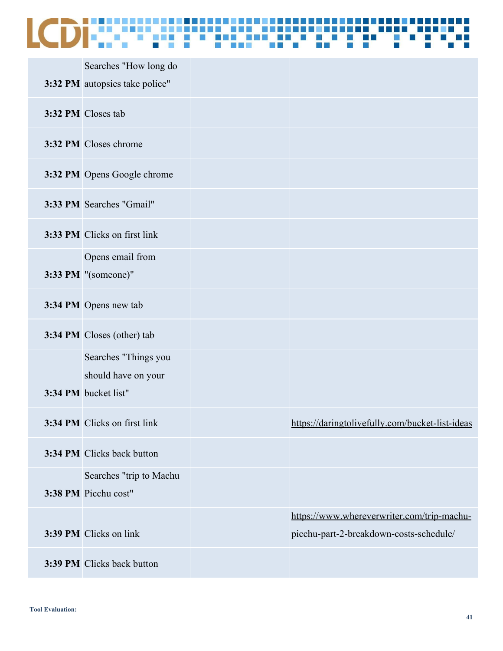| Searches "How long do<br>3:32 PM autopsies take police"             |                                                                                       |
|---------------------------------------------------------------------|---------------------------------------------------------------------------------------|
| 3:32 PM Closes tab                                                  |                                                                                       |
| 3:32 PM Closes chrome                                               |                                                                                       |
| 3:32 PM Opens Google chrome                                         |                                                                                       |
| 3:33 PM Searches "Gmail"                                            |                                                                                       |
| 3:33 PM Clicks on first link                                        |                                                                                       |
| Opens email from<br>3:33 PM "(someone)"                             |                                                                                       |
| 3:34 PM Opens new tab                                               |                                                                                       |
| 3:34 PM Closes (other) tab                                          |                                                                                       |
| Searches "Things you<br>should have on your<br>3:34 PM bucket list" |                                                                                       |
| 3:34 PM Clicks on first link                                        | https://daringtolivefully.com/bucket-list-ideas                                       |
| 3:34 PM Clicks back button                                          |                                                                                       |
| Searches "trip to Machu<br>3:38 PM Picchu cost"                     |                                                                                       |
| 3:39 PM Clicks on link                                              | https://www.whereverwriter.com/trip-machu-<br>picchu-part-2-breakdown-costs-schedule/ |
| 3:39 PM Clicks back button                                          |                                                                                       |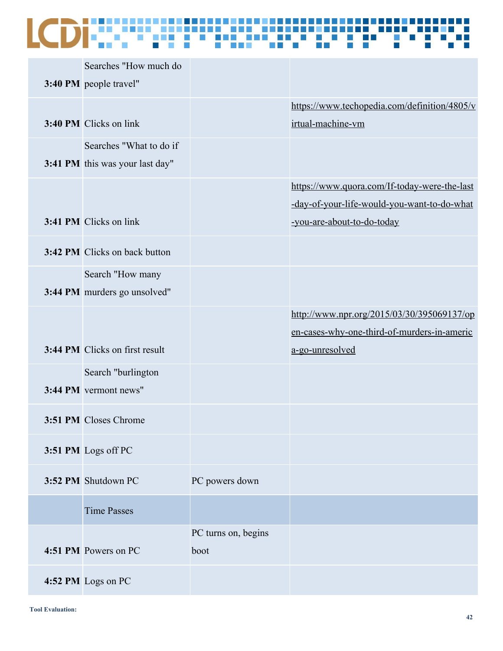### a E

| Searches "How much do    |                                                                                                                                                                                                                                                                                                                                                                                      |                                              |
|--------------------------|--------------------------------------------------------------------------------------------------------------------------------------------------------------------------------------------------------------------------------------------------------------------------------------------------------------------------------------------------------------------------------------|----------------------------------------------|
|                          |                                                                                                                                                                                                                                                                                                                                                                                      |                                              |
|                          |                                                                                                                                                                                                                                                                                                                                                                                      | https://www.techopedia.com/definition/4805/v |
|                          |                                                                                                                                                                                                                                                                                                                                                                                      | irtual-machine-vm                            |
| Searches "What to do if" |                                                                                                                                                                                                                                                                                                                                                                                      |                                              |
|                          |                                                                                                                                                                                                                                                                                                                                                                                      |                                              |
|                          |                                                                                                                                                                                                                                                                                                                                                                                      | https://www.quora.com/If-today-were-the-last |
|                          |                                                                                                                                                                                                                                                                                                                                                                                      | -day-of-your-life-would-you-want-to-do-what  |
|                          |                                                                                                                                                                                                                                                                                                                                                                                      | -you-are-about-to-do-today                   |
|                          |                                                                                                                                                                                                                                                                                                                                                                                      |                                              |
| Search "How many         |                                                                                                                                                                                                                                                                                                                                                                                      |                                              |
|                          |                                                                                                                                                                                                                                                                                                                                                                                      |                                              |
|                          |                                                                                                                                                                                                                                                                                                                                                                                      | http://www.npr.org/2015/03/30/395069137/op   |
|                          |                                                                                                                                                                                                                                                                                                                                                                                      | en-cases-why-one-third-of-murders-in-americ  |
|                          |                                                                                                                                                                                                                                                                                                                                                                                      | a-go-unresolved                              |
| Search "burlington       |                                                                                                                                                                                                                                                                                                                                                                                      |                                              |
|                          |                                                                                                                                                                                                                                                                                                                                                                                      |                                              |
|                          |                                                                                                                                                                                                                                                                                                                                                                                      |                                              |
|                          |                                                                                                                                                                                                                                                                                                                                                                                      |                                              |
|                          |                                                                                                                                                                                                                                                                                                                                                                                      |                                              |
|                          | PC powers down                                                                                                                                                                                                                                                                                                                                                                       |                                              |
|                          |                                                                                                                                                                                                                                                                                                                                                                                      |                                              |
|                          |                                                                                                                                                                                                                                                                                                                                                                                      |                                              |
|                          |                                                                                                                                                                                                                                                                                                                                                                                      |                                              |
|                          |                                                                                                                                                                                                                                                                                                                                                                                      |                                              |
|                          |                                                                                                                                                                                                                                                                                                                                                                                      |                                              |
|                          | 3:40 PM people travel"<br>3:40 PM Clicks on link<br>3:41 PM this was your last day"<br>3:41 PM Clicks on link<br>3:42 PM Clicks on back button<br>3:44 PM murders go unsolved"<br>3:44 PM Clicks on first result<br>3:44 PM vermont news"<br>3:51 PM Closes Chrome<br>3:51 PM Logs off PC<br>3:52 PM Shutdown PC<br><b>Time Passes</b><br>4:51 PM Powers on PC<br>4:52 PM Logs on PC | PC turns on, begins<br>boot                  |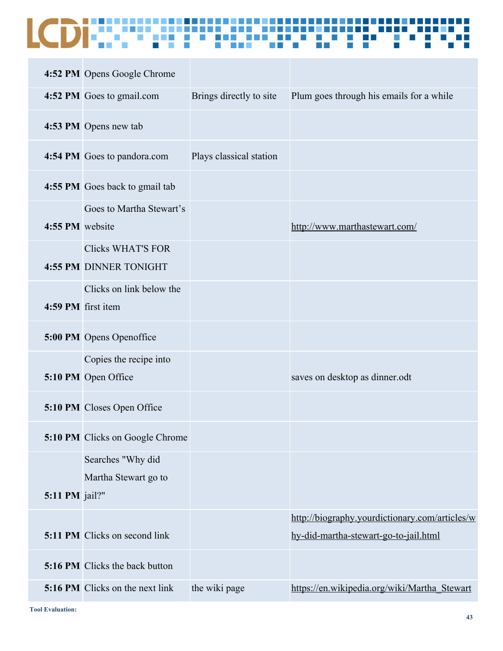|                    | 4:52 PM Opens Google Chrome                               |                         |                                                |
|--------------------|-----------------------------------------------------------|-------------------------|------------------------------------------------|
|                    | 4:52 PM Goes to gmail.com                                 | Brings directly to site | Plum goes through his emails for a while       |
|                    | 4:53 PM Opens new tab                                     |                         |                                                |
|                    | 4:54 PM Goes to pandora.com                               | Plays classical station |                                                |
|                    | 4:55 PM Goes back to gmail tab                            |                         |                                                |
| 4:55 PM website    | Goes to Martha Stewart's                                  |                         | http://www.marthastewart.com/                  |
|                    | <b>Clicks WHAT'S FOR</b><br><b>4:55 PM DINNER TONIGHT</b> |                         |                                                |
| 4:59 PM first item | Clicks on link below the                                  |                         |                                                |
|                    | 5:00 PM Opens Openoffice                                  |                         |                                                |
|                    | Copies the recipe into<br>5:10 PM Open Office             |                         | saves on desktop as dinner.odt                 |
|                    | 5:10 PM Closes Open Office                                |                         |                                                |
|                    | 5:10 PM Clicks on Google Chrome                           |                         |                                                |
| 5:11 PM jail?"     | Searches "Why did<br>Martha Stewart go to                 |                         |                                                |
|                    |                                                           |                         | http://biography.yourdictionary.com/articles/w |
|                    | <b>5:11 PM</b> Clicks on second link                      |                         | hy-did-martha-stewart-go-to-jail.html          |
|                    | <b>5:16 PM</b> Clicks the back button                     |                         |                                                |
|                    | 5:16 PM Clicks on the next link                           | the wiki page           | https://en.wikipedia.org/wiki/Martha Stewart   |

**Tool Evaluation:**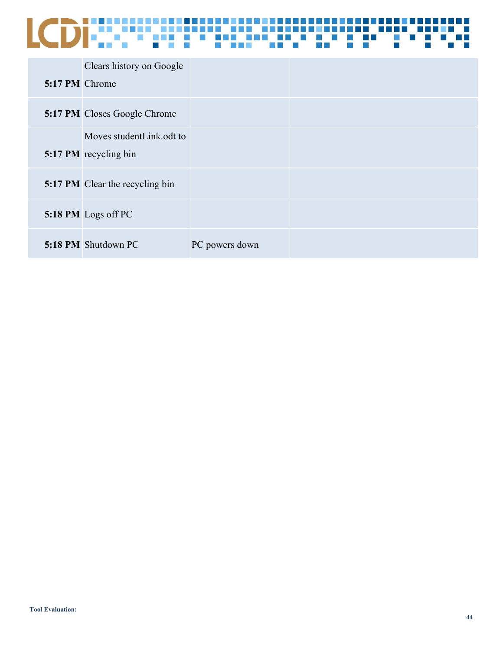| 5:17 PM Chrome | Clears history on Google                          |                |  |
|----------------|---------------------------------------------------|----------------|--|
|                | <b>5:17 PM</b> Closes Google Chrome               |                |  |
|                | Moves studentLink.odt to<br>5:17 PM recycling bin |                |  |
|                | <b>5:17 PM</b> Clear the recycling bin            |                |  |
|                | 5:18 PM Logs off PC                               |                |  |
|                | 5:18 PM Shutdown PC                               | PC powers down |  |